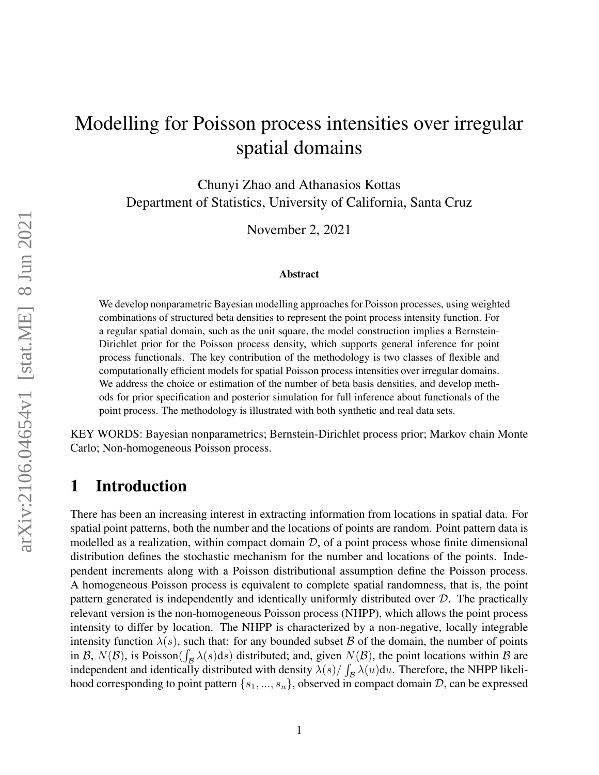# Modelling for Poisson process intensities over irregular spatial domains

Chunyi Zhao and Athanasios Kottas Department of Statistics, University of California, Santa Cruz

November 2, 2021

#### Abstract

We develop nonparametric Bayesian modelling approaches for Poisson processes, using weighted combinations of structured beta densities to represent the point process intensity function. For a regular spatial domain, such as the unit square, the model construction implies a Bernstein-Dirichlet prior for the Poisson process density, which supports general inference for point process functionals. The key contribution of the methodology is two classes of flexible and computationally efficient models for spatial Poisson process intensities over irregular domains. We address the choice or estimation of the number of beta basis densities, and develop methods for prior specification and posterior simulation for full inference about functionals of the point process. The methodology is illustrated with both synthetic and real data sets.

KEY WORDS: Bayesian nonparametrics; Bernstein-Dirichlet process prior; Markov chain Monte Carlo; Non-homogeneous Poisson process.

# 1 Introduction

There has been an increasing interest in extracting information from locations in spatial data. For spatial point patterns, both the number and the locations of points are random. Point pattern data is modelled as a realization, within compact domain  $D$ , of a point process whose finite dimensional distribution defines the stochastic mechanism for the number and locations of the points. Independent increments along with a Poisson distributional assumption define the Poisson process. A homogeneous Poisson process is equivalent to complete spatial randomness, that is, the point pattern generated is independently and identically uniformly distributed over  $D$ . The practically relevant version is the non-homogeneous Poisson process (NHPP), which allows the point process intensity to differ by location. The NHPP is characterized by a non-negative, locally integrable intensity function  $\lambda(s)$ , such that: for any bounded subset B of the domain, the number of points in B,  $N(\mathcal{B})$ , is Poisson( $\int_{\mathcal{B}} \lambda(s) ds$ ) distributed; and, given  $N(\mathcal{B})$ , the point locations within B are independent and identically distributed with density  $\lambda(s)/\int_{\mathcal{B}} \lambda(u)du$ . Therefore, the NHPP likelihood corresponding to point pattern  $\{s_1, ..., s_n\}$ , observed in compact domain D, can be expressed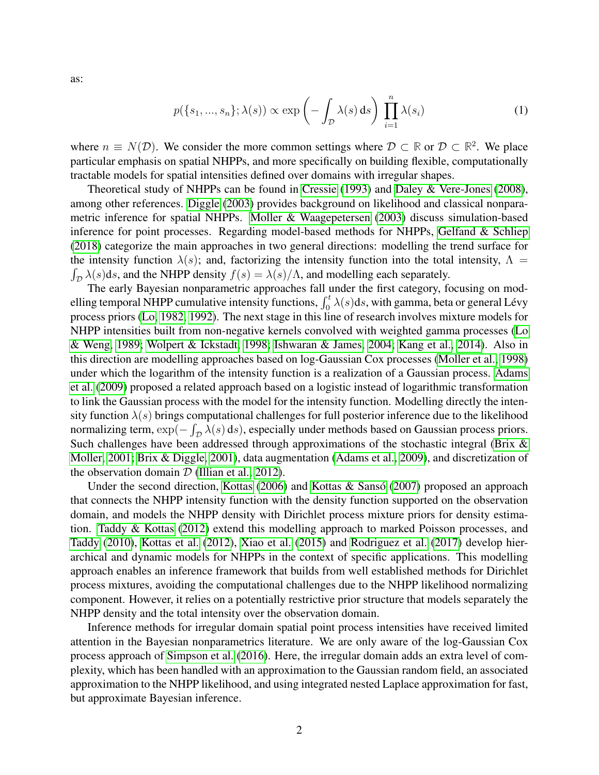as:

<span id="page-1-0"></span>
$$
p(\lbrace s_1, ..., s_n \rbrace; \lambda(s)) \propto \exp\left(-\int_{\mathcal{D}} \lambda(s) \, ds\right) \prod_{i=1}^n \lambda(s_i)
$$
 (1)

where  $n \equiv N(\mathcal{D})$ . We consider the more common settings where  $\mathcal{D} \subset \mathbb{R}$  or  $\mathcal{D} \subset \mathbb{R}^2$ . We place particular emphasis on spatial NHPPs, and more specifically on building flexible, computationally tractable models for spatial intensities defined over domains with irregular shapes.

Theoretical study of NHPPs can be found in [Cressie](#page-15-0) [\(1993\)](#page-15-0) and [Daley & Vere-Jones](#page-15-1) [\(2008\)](#page-15-1), among other references. [Diggle](#page-15-2) [\(2003\)](#page-15-2) provides background on likelihood and classical nonparametric inference for spatial NHPPs. [Moller & Waagepetersen](#page-17-0) [\(2003\)](#page-17-0) discuss simulation-based inference for point processes. Regarding model-based methods for NHPPs, [Gelfand & Schliep](#page-16-0) [\(2018\)](#page-16-0) categorize the main approaches in two general directions: modelling the trend surface for the intensity function  $\lambda(s)$ ; and, factorizing the intensity function into the total intensity,  $\Lambda$  =  $\int_{\mathcal{D}} \lambda(s) ds$ , and the NHPP density  $f(s) = \lambda(s)/\Lambda$ , and modelling each separately.

The early Bayesian nonparametric approaches fall under the first category, focusing on modelling temporal NHPP cumulative intensity functions,  $\int_0^t \lambda(s) ds$ , with gamma, beta or general Lévy process priors [\(Lo, 1982,](#page-16-1) [1992\)](#page-16-2). The next stage in this line of research involves mixture models for NHPP intensities built from non-negative kernels convolved with weighted gamma processes [\(Lo](#page-16-3) [& Weng, 1989;](#page-16-3) [Wolpert & Ickstadt, 1998;](#page-17-1) [Ishwaran & James, 2004;](#page-16-4) [Kang et al., 2014\)](#page-16-5). Also in this direction are modelling approaches based on log-Gaussian Cox processes [\(Moller et al., 1998\)](#page-16-6) under which the logarithm of the intensity function is a realization of a Gaussian process. [Adams](#page-15-3) [et al.](#page-15-3) [\(2009\)](#page-15-3) proposed a related approach based on a logistic instead of logarithmic transformation to link the Gaussian process with the model for the intensity function. Modelling directly the intensity function  $\lambda(s)$  brings computational challenges for full posterior inference due to the likelihood normalizing term,  $\exp(-\int_{\mathcal{D}} \lambda(s) ds)$ , especially under methods based on Gaussian process priors. Such challenges have been addressed through approximations of the stochastic integral [\(Brix &](#page-15-4) [Moller, 2001;](#page-15-4) [Brix & Diggle, 2001\)](#page-15-5), data augmentation [\(Adams et al., 2009\)](#page-15-3), and discretization of the observation domain  $D$  [\(Illian et al., 2012\)](#page-16-7).

Under the second direction, [Kottas](#page-16-8) [\(2006\)](#page-16-8) and [Kottas & Sansó](#page-16-9) [\(2007\)](#page-16-9) proposed an approach that connects the NHPP intensity function with the density function supported on the observation domain, and models the NHPP density with Dirichlet process mixture priors for density estimation. [Taddy & Kottas](#page-17-2) [\(2012\)](#page-17-2) extend this modelling approach to marked Poisson processes, and [Taddy](#page-17-3) [\(2010\)](#page-17-3), [Kottas et al.](#page-16-10) [\(2012\)](#page-16-10), [Xiao et al.](#page-17-4) [\(2015\)](#page-17-4) and [Rodriguez et al.](#page-17-5) [\(2017\)](#page-17-5) develop hierarchical and dynamic models for NHPPs in the context of specific applications. This modelling approach enables an inference framework that builds from well established methods for Dirichlet process mixtures, avoiding the computational challenges due to the NHPP likelihood normalizing component. However, it relies on a potentially restrictive prior structure that models separately the NHPP density and the total intensity over the observation domain.

Inference methods for irregular domain spatial point process intensities have received limited attention in the Bayesian nonparametrics literature. We are only aware of the log-Gaussian Cox process approach of [Simpson et al.](#page-17-6) [\(2016\)](#page-17-6). Here, the irregular domain adds an extra level of complexity, which has been handled with an approximation to the Gaussian random field, an associated approximation to the NHPP likelihood, and using integrated nested Laplace approximation for fast, but approximate Bayesian inference.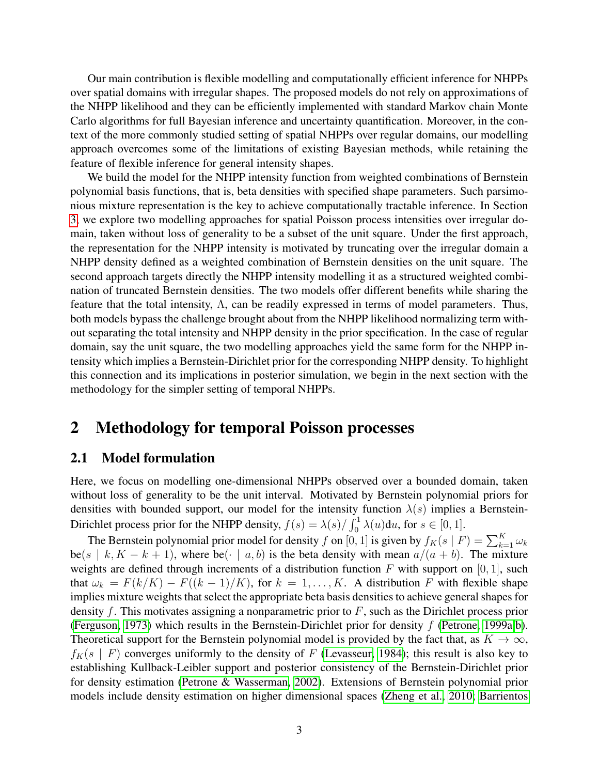Our main contribution is flexible modelling and computationally efficient inference for NHPPs over spatial domains with irregular shapes. The proposed models do not rely on approximations of the NHPP likelihood and they can be efficiently implemented with standard Markov chain Monte Carlo algorithms for full Bayesian inference and uncertainty quantification. Moreover, in the context of the more commonly studied setting of spatial NHPPs over regular domains, our modelling approach overcomes some of the limitations of existing Bayesian methods, while retaining the feature of flexible inference for general intensity shapes.

We build the model for the NHPP intensity function from weighted combinations of Bernstein polynomial basis functions, that is, beta densities with specified shape parameters. Such parsimonious mixture representation is the key to achieve computationally tractable inference. In Section [3,](#page-6-0) we explore two modelling approaches for spatial Poisson process intensities over irregular domain, taken without loss of generality to be a subset of the unit square. Under the first approach, the representation for the NHPP intensity is motivated by truncating over the irregular domain a NHPP density defined as a weighted combination of Bernstein densities on the unit square. The second approach targets directly the NHPP intensity modelling it as a structured weighted combination of truncated Bernstein densities. The two models offer different benefits while sharing the feature that the total intensity,  $\Lambda$ , can be readily expressed in terms of model parameters. Thus, both models bypass the challenge brought about from the NHPP likelihood normalizing term without separating the total intensity and NHPP density in the prior specification. In the case of regular domain, say the unit square, the two modelling approaches yield the same form for the NHPP intensity which implies a Bernstein-Dirichlet prior for the corresponding NHPP density. To highlight this connection and its implications in posterior simulation, we begin in the next section with the methodology for the simpler setting of temporal NHPPs.

### 2 Methodology for temporal Poisson processes

#### <span id="page-2-0"></span>2.1 Model formulation

Here, we focus on modelling one-dimensional NHPPs observed over a bounded domain, taken without loss of generality to be the unit interval. Motivated by Bernstein polynomial priors for densities with bounded support, our model for the intensity function  $\lambda(s)$  implies a Bernstein-Dirichlet process prior for the NHPP density,  $f(s) = \lambda(s)/\int_0^1 \lambda(u) du$ , for  $s \in [0, 1]$ .

The Bernstein polynomial prior model for density f on [0, 1] is given by  $f_K(s | F) = \sum_{k=1}^K \omega_k$  $be(s \mid k, K - k + 1)$ , where  $be(\cdot \mid a, b)$  is the beta density with mean  $a/(a + b)$ . The mixture weights are defined through increments of a distribution function  $F$  with support on [0, 1], such that  $\omega_k = F(k/K) - F((k-1)/K)$ , for  $k = 1, ..., K$ . A distribution F with flexible shape implies mixture weights that select the appropriate beta basis densities to achieve general shapes for density f. This motivates assigning a nonparametric prior to  $F$ , such as the Dirichlet process prior [\(Ferguson, 1973\)](#page-16-11) which results in the Bernstein-Dirichlet prior for density f [\(Petrone, 1999a](#page-17-7)[,b\)](#page-17-8). Theoretical support for the Bernstein polynomial model is provided by the fact that, as  $K \to \infty$ ,  $f_K(s \mid F)$  converges uniformly to the density of F [\(Levasseur, 1984\)](#page-16-12); this result is also key to establishing Kullback-Leibler support and posterior consistency of the Bernstein-Dirichlet prior for density estimation [\(Petrone & Wasserman, 2002\)](#page-17-9). Extensions of Bernstein polynomial prior models include density estimation on higher dimensional spaces [\(Zheng et al., 2010;](#page-17-10) [Barrientos](#page-15-6)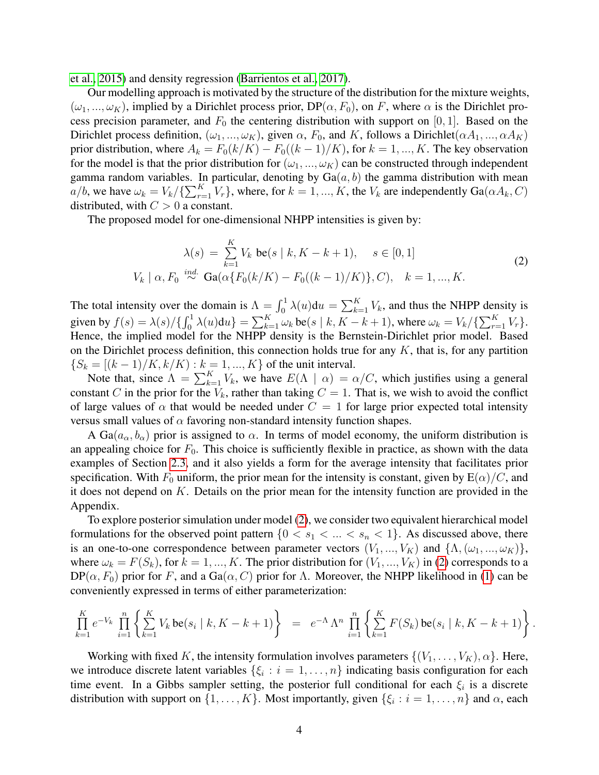[et al., 2015\)](#page-15-6) and density regression [\(Barrientos et al., 2017\)](#page-15-7).

Our modelling approach is motivated by the structure of the distribution for the mixture weights,  $(\omega_1, ..., \omega_K)$ , implied by a Dirichlet process prior, DP( $\alpha, F_0$ ), on F, where  $\alpha$  is the Dirichlet process precision parameter, and  $F_0$  the centering distribution with support on [0, 1]. Based on the Dirichlet process definition,  $(\omega_1, ..., \omega_K)$ , given  $\alpha$ ,  $F_0$ , and K, follows a Dirichlet $(\alpha A_1, ..., \alpha A_K)$ prior distribution, where  $A_k = F_0(k/K) - F_0((k-1)/K)$ , for  $k = 1, ..., K$ . The key observation for the model is that the prior distribution for  $(\omega_1, ..., \omega_K)$  can be constructed through independent gamma random variables. In particular, denoting by  $Ga(a, b)$  the gamma distribution with mean  $a/b$ , we have  $\omega_k = V_k / {\sum_{r=1}^K V_r}$ , where, for  $k = 1, ..., K$ , the  $V_k$  are independently  $Ga(\alpha A_k, C)$ distributed, with  $C > 0$  a constant.

The proposed model for one-dimensional NHPP intensities is given by:

<span id="page-3-0"></span>
$$
\lambda(s) = \sum_{k=1}^{K} V_k \text{ be}(s \mid k, K - k + 1), \quad s \in [0, 1]
$$
  

$$
V_k \mid \alpha, F_0 \stackrel{ind.}{\sim} \text{Ga}(\alpha \{ F_0(k/K) - F_0((k-1)/K) \}, C), \quad k = 1, ..., K.
$$
 (2)

The total intensity over the domain is  $\Lambda = \int_0^1 \lambda(u) du = \sum_{k=1}^K V_k$ , and thus the NHPP density is given by  $f(s) = \lambda(s)/\{\int_0^1 \lambda(u) \mathrm{d}u\} = \sum_{k=1}^K \omega_k \log(s \mid k, K - k + 1)$ , where  $\omega_k = V_k/\{\sum_{r=1}^K V_r\}$ . Hence, the implied model for the NHPP density is the Bernstein-Dirichlet prior model. Based on the Dirichlet process definition, this connection holds true for any  $K$ , that is, for any partition  $\{S_k = [(k-1)/K, k/K) : k = 1, ..., K\}$  of the unit interval.

Note that, since  $\Lambda = \sum_{k=1}^{K} V_k$ , we have  $E(\Lambda | \alpha) = \alpha/C$ , which justifies using a general constant C in the prior for the  $V_k$ , rather than taking  $C = 1$ . That is, we wish to avoid the conflict of large values of  $\alpha$  that would be needed under  $C = 1$  for large prior expected total intensity versus small values of  $\alpha$  favoring non-standard intensity function shapes.

A Ga( $a_{\alpha}, b_{\alpha}$ ) prior is assigned to  $\alpha$ . In terms of model economy, the uniform distribution is an appealing choice for  $F_0$ . This choice is sufficiently flexible in practice, as shown with the data examples of Section [2.3,](#page-5-0) and it also yields a form for the average intensity that facilitates prior specification. With  $F_0$  uniform, the prior mean for the intensity is constant, given by  $E(\alpha)/C$ , and it does not depend on  $K$ . Details on the prior mean for the intensity function are provided in the Appendix.

To explore posterior simulation under model [\(2\)](#page-3-0), we consider two equivalent hierarchical model formulations for the observed point pattern  $\{0 \lt s_1 \lt \ldots \lt s_n \lt 1\}$ . As discussed above, there is an one-to-one correspondence between parameter vectors  $(V_1, ..., V_K)$  and  $\{\Lambda, (\omega_1, ..., \omega_K)\},$ where  $\omega_k = F(S_k)$ , for  $k = 1, ..., K$ . The prior distribution for  $(V_1, ..., V_K)$  in [\(2\)](#page-3-0) corresponds to a  $DP(\alpha, F_0)$  prior for F, and a Ga $(\alpha, C)$  prior for  $\Lambda$ . Moreover, the NHPP likelihood in [\(1\)](#page-1-0) can be conveniently expressed in terms of either parameterization:

$$
\left.\prod_{k=1}^K e^{-V_k}\, \prod_{i=1}^n \left\{ \sum_{k=1}^K V_k \, {\rm be}(s_i\mid k,K-k+1) \right\} \;\; = \;\; e^{-\Lambda}\, \Lambda^n \, \prod_{i=1}^n \left\{ \sum_{k=1}^K F(S_k) \, {\rm be}(s_i\mid k,K-k+1) \right\}
$$

.

Working with fixed K, the intensity formulation involves parameters  $\{(V_1, \ldots, V_K), \alpha\}$ . Here, we introduce discrete latent variables  $\{\xi_i : i = 1, \ldots, n\}$  indicating basis configuration for each time event. In a Gibbs sampler setting, the posterior full conditional for each  $\xi_i$  is a discrete distribution with support on  $\{1, \ldots, K\}$ . Most importantly, given  $\{\xi_i : i = 1, \ldots, n\}$  and  $\alpha$ , each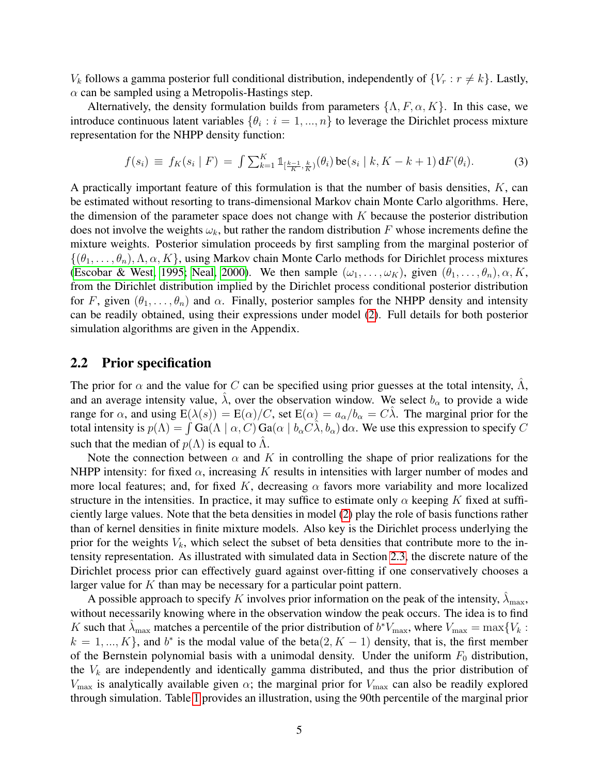$V_k$  follows a gamma posterior full conditional distribution, independently of  $\{V_r : r \neq k\}$ . Lastly,  $\alpha$  can be sampled using a Metropolis-Hastings step.

Alternatively, the density formulation builds from parameters  $\{\Lambda, F, \alpha, K\}$ . In this case, we introduce continuous latent variables  $\{\theta_i : i = 1, ..., n\}$  to leverage the Dirichlet process mixture representation for the NHPP density function:

$$
f(s_i) \equiv f_K(s_i \mid F) = \int \sum_{k=1}^K \mathbb{1}_{\left[\frac{k-1}{K}, \frac{k}{K}\right]}(\theta_i) \, \text{be}(s_i \mid k, K-k+1) \, \text{d}F(\theta_i). \tag{3}
$$

A practically important feature of this formulation is that the number of basis densities,  $K$ , can be estimated without resorting to trans-dimensional Markov chain Monte Carlo algorithms. Here, the dimension of the parameter space does not change with  $K$  because the posterior distribution does not involve the weights  $\omega_k$ , but rather the random distribution F whose increments define the mixture weights. Posterior simulation proceeds by first sampling from the marginal posterior of  $\{(\theta_1,\ldots,\theta_n),\Lambda,\alpha,K\}$ , using Markov chain Monte Carlo methods for Dirichlet process mixtures [\(Escobar & West, 1995;](#page-15-8) [Neal, 2000\)](#page-17-11). We then sample  $(\omega_1, \ldots, \omega_K)$ , given  $(\theta_1, \ldots, \theta_n)$ ,  $\alpha, K$ , from the Dirichlet distribution implied by the Dirichlet process conditional posterior distribution for F, given  $(\theta_1, \ldots, \theta_n)$  and  $\alpha$ . Finally, posterior samples for the NHPP density and intensity can be readily obtained, using their expressions under model [\(2\)](#page-3-0). Full details for both posterior simulation algorithms are given in the Appendix.

#### <span id="page-4-0"></span>2.2 Prior specification

The prior for  $\alpha$  and the value for C can be specified using prior guesses at the total intensity,  $\Lambda$ , and an average intensity value,  $\hat{\lambda}$ , over the observation window. We select  $b_{\alpha}$  to provide a wide range for  $\alpha$ , and using  $E(\lambda(s)) = E(\alpha)/C$ , set  $E(\alpha) = a_{\alpha}/b_{\alpha} = C\lambda$ . The marginal prior for the total intensity is  $p(\Lambda) = \int G a(\Lambda \mid \alpha, C) G a(\alpha \mid b_{\alpha} C \hat{\lambda}, b_{\alpha}) d\alpha$ . We use this expression to specify C such that the median of  $p(\Lambda)$  is equal to  $\Lambda$ .

Note the connection between  $\alpha$  and K in controlling the shape of prior realizations for the NHPP intensity: for fixed  $\alpha$ , increasing K results in intensities with larger number of modes and more local features; and, for fixed K, decreasing  $\alpha$  favors more variability and more localized structure in the intensities. In practice, it may suffice to estimate only  $\alpha$  keeping K fixed at sufficiently large values. Note that the beta densities in model [\(2\)](#page-3-0) play the role of basis functions rather than of kernel densities in finite mixture models. Also key is the Dirichlet process underlying the prior for the weights  $V_k$ , which select the subset of beta densities that contribute more to the intensity representation. As illustrated with simulated data in Section [2.3,](#page-5-0) the discrete nature of the Dirichlet process prior can effectively guard against over-fitting if one conservatively chooses a larger value for K than may be necessary for a particular point pattern.

A possible approach to specify K involves prior information on the peak of the intensity,  $\lambda_{\text{max}}$ , without necessarily knowing where in the observation window the peak occurs. The idea is to find K such that  $\hat{\lambda}_{\text{max}}$  matches a percentile of the prior distribution of  $b^*V_{\text{max}}$ , where  $V_{\text{max}} = \max\{V_k :$  $k = 1, ..., K$ , and  $b^*$  is the modal value of the beta $(2, K - 1)$  density, that is, the first member of the Bernstein polynomial basis with a unimodal density. Under the uniform  $F_0$  distribution, the  $V_k$  are independently and identically gamma distributed, and thus the prior distribution of  $V_{\text{max}}$  is analytically available given  $\alpha$ ; the marginal prior for  $V_{\text{max}}$  can also be readily explored through simulation. Table [1](#page-5-1) provides an illustration, using the 90th percentile of the marginal prior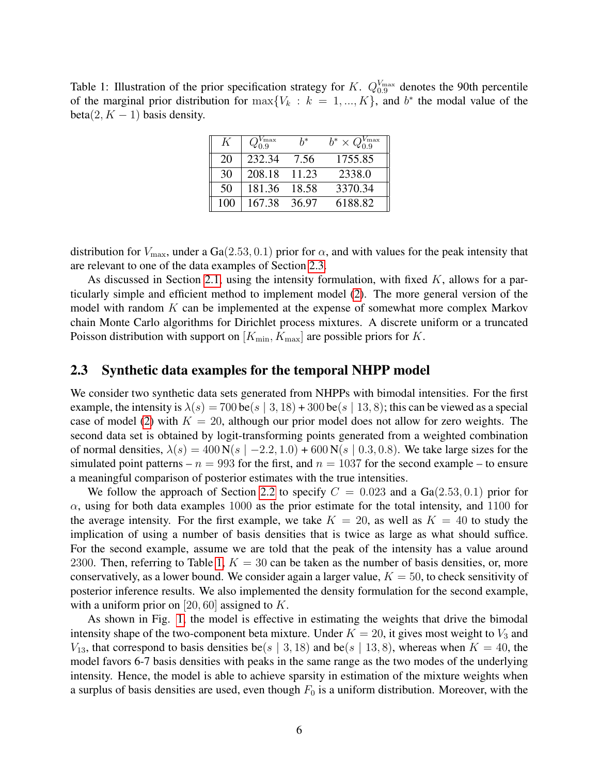<span id="page-5-1"></span>Table 1: Illustration of the prior specification strategy for K.  $Q_{0.9}^{V_{\text{max}}}$  denotes the 90th percentile of the marginal prior distribution for  $\max\{V_k : k = 1, ..., K\}$ , and  $b^*$  the modal value of the  $beta(2, K - 1)$  basis density.

| K   | $Q_{0.9}^{V_{\rm max}}$ | $h^*$ | $b^* \times Q_{0.9}^{V_{\rm max}}$ |
|-----|-------------------------|-------|------------------------------------|
| 20  | 232.34                  | 7.56  | 1755.85                            |
| 30  | 208.18                  | 11.23 | 2338.0                             |
| 50  | 181.36                  | 18.58 | 3370.34                            |
| 100 | 167.38                  | 36.97 | 6188.82                            |

distribution for  $V_{\text{max}}$ , under a Ga(2.53, 0.1) prior for  $\alpha$ , and with values for the peak intensity that are relevant to one of the data examples of Section [2.3.](#page-5-0)

As discussed in Section [2.1,](#page-2-0) using the intensity formulation, with fixed  $K$ , allows for a particularly simple and efficient method to implement model [\(2\)](#page-3-0). The more general version of the model with random K can be implemented at the expense of somewhat more complex Markov chain Monte Carlo algorithms for Dirichlet process mixtures. A discrete uniform or a truncated Poisson distribution with support on  $[K_{\min}, K_{\max}]$  are possible priors for K.

#### <span id="page-5-0"></span>2.3 Synthetic data examples for the temporal NHPP model

We consider two synthetic data sets generated from NHPPs with bimodal intensities. For the first example, the intensity is  $\lambda(s) = 700 \text{ be}(s \mid 3, 18) + 300 \text{ be}(s \mid 13, 8)$ ; this can be viewed as a special case of model [\(2\)](#page-3-0) with  $K = 20$ , although our prior model does not allow for zero weights. The second data set is obtained by logit-transforming points generated from a weighted combination of normal densities,  $\lambda(s) = 400 \text{ N}(s \mid -2.2, 1.0) + 600 \text{ N}(s \mid 0.3, 0.8)$ . We take large sizes for the simulated point patterns –  $n = 993$  for the first, and  $n = 1037$  for the second example – to ensure a meaningful comparison of posterior estimates with the true intensities.

We follow the approach of Section [2.2](#page-4-0) to specify  $C = 0.023$  and a Ga(2.53, 0.1) prior for  $\alpha$ , using for both data examples 1000 as the prior estimate for the total intensity, and 1100 for the average intensity. For the first example, we take  $K = 20$ , as well as  $K = 40$  to study the implication of using a number of basis densities that is twice as large as what should suffice. For the second example, assume we are told that the peak of the intensity has a value around 2300. Then, referring to Table [1,](#page-5-1)  $K = 30$  can be taken as the number of basis densities, or, more conservatively, as a lower bound. We consider again a larger value,  $K = 50$ , to check sensitivity of posterior inference results. We also implemented the density formulation for the second example, with a uniform prior on  $[20, 60]$  assigned to K.

As shown in Fig. [1,](#page-6-1) the model is effective in estimating the weights that drive the bimodal intensity shape of the two-component beta mixture. Under  $K = 20$ , it gives most weight to  $V_3$  and  $V_{13}$ , that correspond to basis densities be(s | 3, 18) and be(s | 13, 8), whereas when  $K = 40$ , the model favors 6-7 basis densities with peaks in the same range as the two modes of the underlying intensity. Hence, the model is able to achieve sparsity in estimation of the mixture weights when a surplus of basis densities are used, even though  $F_0$  is a uniform distribution. Moreover, with the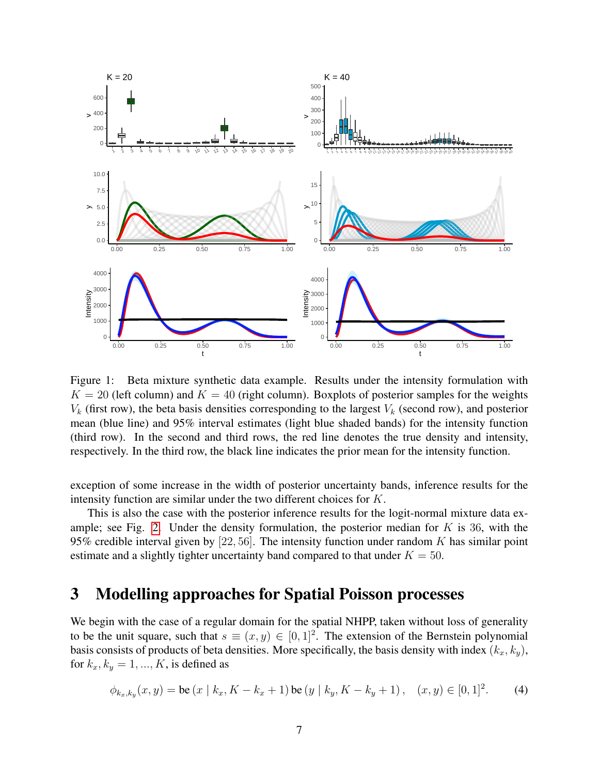

<span id="page-6-1"></span>Figure 1: Beta mixture synthetic data example. Results under the intensity formulation with  $K = 20$  (left column) and  $K = 40$  (right column). Boxplots of posterior samples for the weights  $V_k$  (first row), the beta basis densities corresponding to the largest  $V_k$  (second row), and posterior mean (blue line) and 95% interval estimates (light blue shaded bands) for the intensity function (third row). In the second and third rows, the red line denotes the true density and intensity, respectively. In the third row, the black line indicates the prior mean for the intensity function.

exception of some increase in the width of posterior uncertainty bands, inference results for the intensity function are similar under the two different choices for K.

This is also the case with the posterior inference results for the logit-normal mixture data ex-ample; see Fig. [2.](#page-7-0) Under the density formulation, the posterior median for  $K$  is 36, with the 95% credible interval given by  $[22, 56]$ . The intensity function under random K has similar point estimate and a slightly tighter uncertainty band compared to that under  $K = 50$ .

### <span id="page-6-0"></span>3 Modelling approaches for Spatial Poisson processes

We begin with the case of a regular domain for the spatial NHPP, taken without loss of generality to be the unit square, such that  $s \equiv (x, y) \in [0, 1]^2$ . The extension of the Bernstein polynomial basis consists of products of beta densities. More specifically, the basis density with index  $(k_x, k_y)$ , for  $k_x, k_y = 1, ..., K$ , is defined as

$$
\phi_{k_x,k_y}(x,y) = \text{be}(x \mid k_x, K - k_x + 1) \text{be}(y \mid k_y, K - k_y + 1), \quad (x, y) \in [0, 1]^2. \tag{4}
$$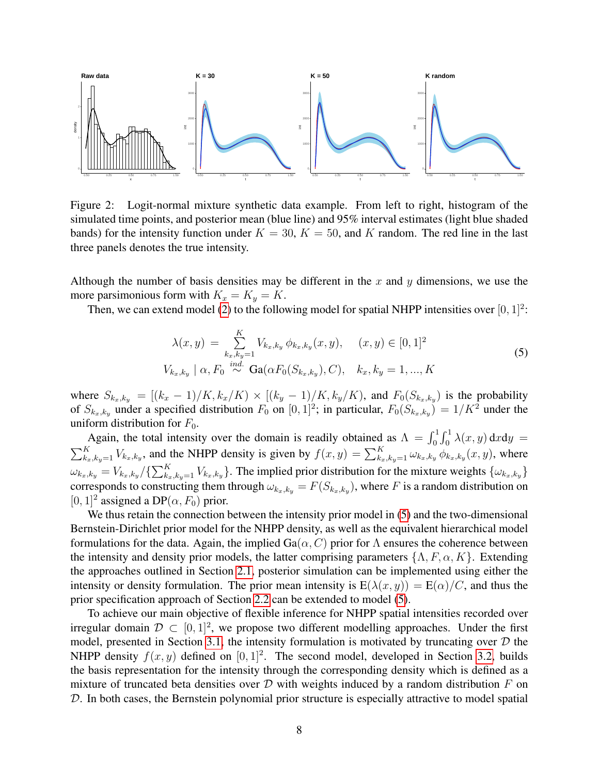

<span id="page-7-0"></span>Figure 2: Logit-normal mixture synthetic data example. From left to right, histogram of the simulated time points, and posterior mean (blue line) and 95% interval estimates (light blue shaded bands) for the intensity function under  $K = 30$ ,  $K = 50$ , and K random. The red line in the last three panels denotes the true intensity.

Although the number of basis densities may be different in the x and y dimensions, we use the more parsimonious form with  $K_x = K_y = K$ .

Then, we can extend model [\(2\)](#page-3-0) to the following model for spatial NHPP intensities over  $[0, 1]^2$ :

<span id="page-7-1"></span>
$$
\lambda(x, y) = \sum_{k_x, k_y = 1}^{K} V_{k_x, k_y} \phi_{k_x, k_y}(x, y), \quad (x, y) \in [0, 1]^2
$$
  

$$
V_{k_x, k_y} \mid \alpha, F_0 \stackrel{ind.}{\sim} \text{Ga}(\alpha F_0(S_{k_x, k_y}), C), \quad k_x, k_y = 1, ..., K
$$
 (5)

where  $S_{k_x,k_y} = [(k_x - 1)/K, k_x/K) \times [(k_y - 1)/K, k_y/K)$ , and  $F_0(S_{k_x,k_y})$  is the probability of  $S_{k_x,k_y}$  under a specified distribution  $F_0$  on  $[0,1]^2$ ; in particular,  $F_0(S_{k_x,k_y}) = 1/K^2$  under the uniform distribution for  $F_0$ .

Again, the total intensity over the domain is readily obtained as  $\Lambda = \int_0^1 \int_0^1 \lambda(x, y) dx dy =$  $\sum_{k_x,k_y=1}^{K} V_{k_x,k_y}$ , and the NHPP density is given by  $f(x,y) = \sum_{k_x,k_y=1}^{K} \omega_{k_x,k_y} \phi_{k_x,k_y}(x,y)$ , where  $\omega_{k_x,k_y} = V_{k_x,k_y}/\{\sum_{k_x,k_y=1}^{K} V_{k_x,k_y}\}.$  The implied prior distribution for the mixture weights  $\{\omega_{k_x,k_y}\}$ corresponds to constructing them through  $\omega_{k_x,k_y} = F(S_{k_x,k_y})$ , where F is a random distribution on [0, 1]<sup>2</sup> assigned a DP( $\alpha$ ,  $F_0$ ) prior.

We thus retain the connection between the intensity prior model in [\(5\)](#page-7-1) and the two-dimensional Bernstein-Dirichlet prior model for the NHPP density, as well as the equivalent hierarchical model formulations for the data. Again, the implied  $Ga(\alpha, C)$  prior for  $\Lambda$  ensures the coherence between the intensity and density prior models, the latter comprising parameters  $\{\Lambda, F, \alpha, K\}$ . Extending the approaches outlined in Section [2.1,](#page-2-0) posterior simulation can be implemented using either the intensity or density formulation. The prior mean intensity is  $E(\lambda(x, y)) = E(\alpha)/C$ , and thus the prior specification approach of Section [2.2](#page-4-0) can be extended to model [\(5\)](#page-7-1).

To achieve our main objective of flexible inference for NHPP spatial intensities recorded over irregular domain  $\mathcal{D} \subset [0, 1]^2$ , we propose two different modelling approaches. Under the first model, presented in Section [3.1,](#page-8-0) the intensity formulation is motivated by truncating over  $D$  the NHPP density  $f(x, y)$  defined on  $[0, 1]^2$ . The second model, developed in Section [3.2,](#page-9-0) builds the basis representation for the intensity through the corresponding density which is defined as a mixture of truncated beta densities over  $D$  with weights induced by a random distribution  $F$  on D. In both cases, the Bernstein polynomial prior structure is especially attractive to model spatial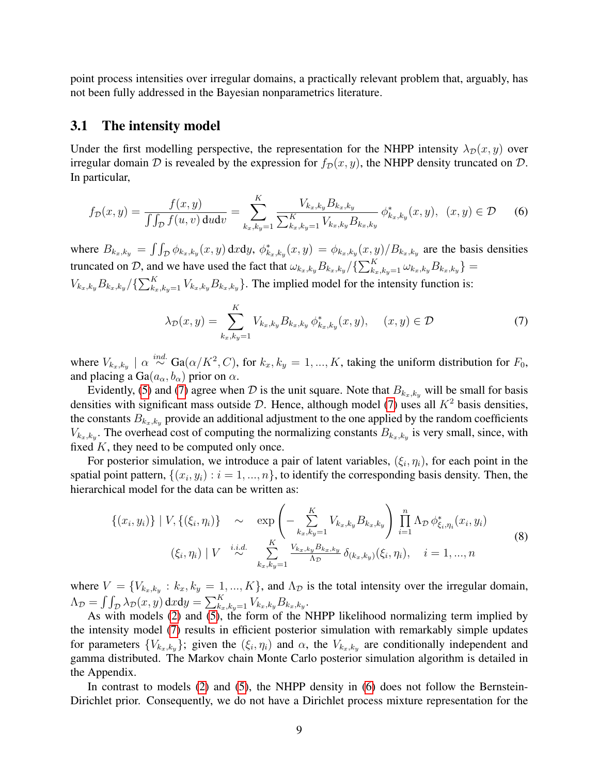point process intensities over irregular domains, a practically relevant problem that, arguably, has not been fully addressed in the Bayesian nonparametrics literature.

#### <span id="page-8-0"></span>3.1 The intensity model

Under the first modelling perspective, the representation for the NHPP intensity  $\lambda_{\mathcal{D}}(x, y)$  over irregular domain D is revealed by the expression for  $f<sub>D</sub>(x, y)$ , the NHPP density truncated on D. In particular,

<span id="page-8-2"></span>
$$
f_{\mathcal{D}}(x,y) = \frac{f(x,y)}{\int \int_{\mathcal{D}} f(u,v) \, \mathrm{d}u \mathrm{d}v} = \sum_{k_x, k_y = 1}^{K} \frac{V_{k_x, k_y} B_{k_x, k_y}}{\sum_{k_x, k_y = 1}^{K} V_{k_x, k_y} B_{k_x, k_y}} \phi_{k_x, k_y}^*(x,y), \quad (x,y) \in \mathcal{D} \tag{6}
$$

where  $B_{k_x,k_y} = \int \int_{\mathcal{D}} \phi_{k_x,k_y}(x, y) dx dy$ ,  $\phi_{k_x,k_y}^*(x, y) = \phi_{k_x,k_y}(x, y) / B_{k_x,k_y}$  are the basis densities truncated on D, and we have used the fact that  $\omega_{k_x,k_y} B_{k_x,k_y} / \{\sum_{k_x,k_y=1}^{K} \omega_{k_x,k_y} B_{k_x,k_y}\}$  =  $V_{k_x,k_y}B_{k_x,k_y}/\{\sum_{k_x,k_y=1}^{K}V_{k_x,k_y}B_{k_x,k_y}\}$ . The implied model for the intensity function is:

<span id="page-8-1"></span>
$$
\lambda_{\mathcal{D}}(x,y) = \sum_{k_x, k_y=1}^{K} V_{k_x, k_y} B_{k_x, k_y} \phi_{k_x, k_y}^*(x,y), \quad (x,y) \in \mathcal{D}
$$
 (7)

where  $V_{k_x,k_y} \mid \alpha \stackrel{ind.}{\sim} Ga(\alpha/K^2,C)$ , for  $k_x,k_y = 1,...,K$ , taking the uniform distribution for  $F_0$ , and placing a  $Ga(a_{\alpha}, b_{\alpha})$  prior on  $\alpha$ .

Evidently, [\(5\)](#page-7-1) and [\(7\)](#page-8-1) agree when D is the unit square. Note that  $B_{k_x,k_y}$  will be small for basis densities with significant mass outside  $D$ . Hence, although model [\(7\)](#page-8-1) uses all  $K^2$  basis densities, the constants  $B_{k_x,k_y}$  provide an additional adjustment to the one applied by the random coefficients  $V_{k_x,k_y}$ . The overhead cost of computing the normalizing constants  $B_{k_x,k_y}$  is very small, since, with fixed  $K$ , they need to be computed only once.

For posterior simulation, we introduce a pair of latent variables,  $(\xi_i, \eta_i)$ , for each point in the spatial point pattern,  $\{(x_i, y_i) : i = 1, ..., n\}$ , to identify the corresponding basis density. Then, the hierarchical model for the data can be written as:

<span id="page-8-3"></span>
$$
\{(x_i, y_i)\} | V, \{(\xi_i, \eta_i)\} \sim \exp\left(-\sum_{k_x, k_y=1}^K V_{k_x, k_y} B_{k_x, k_y}\right) \prod_{i=1}^n \Lambda_{\mathcal{D}} \phi_{\xi_i, \eta_i}^*(x_i, y_i)
$$
\n
$$
(\xi_i, \eta_i) | V \stackrel{i.i.d.}{\sim} \sum_{k_x, k_y=1}^K \frac{V_{k_x, k_y} B_{k_x, k_y}}{\Lambda_{\mathcal{D}}} \delta_{(k_x, k_y)}(\xi_i, \eta_i), \quad i = 1, ..., n
$$
\n(8)

where  $V = \{V_{k_x,k_y} : k_x, k_y = 1, ..., K\}$ , and  $\Lambda_{\mathcal{D}}$  is the total intensity over the irregular domain,  $\Lambda_{\mathcal{D}}=\int\!\int_{\mathcal{D}}\lambda_{\mathcal{D}}(x,y)\,\mathrm{d}x\mathrm{d}y=\sum_{k_{x},k_{y}=1}^{K}V_{k_{x},k_{y}}B_{k_{x},k_{y}}.$ 

As with models [\(2\)](#page-3-0) and [\(5\)](#page-7-1), the form of the NHPP likelihood normalizing term implied by the intensity model [\(7\)](#page-8-1) results in efficient posterior simulation with remarkably simple updates for parameters  $\{V_{k_x,k_y}\}\$ ; given the  $(\xi_i,\eta_i)$  and  $\alpha$ , the  $V_{k_x,k_y}$  are conditionally independent and gamma distributed. The Markov chain Monte Carlo posterior simulation algorithm is detailed in the Appendix.

In contrast to models [\(2\)](#page-3-0) and [\(5\)](#page-7-1), the NHPP density in [\(6\)](#page-8-2) does not follow the Bernstein-Dirichlet prior. Consequently, we do not have a Dirichlet process mixture representation for the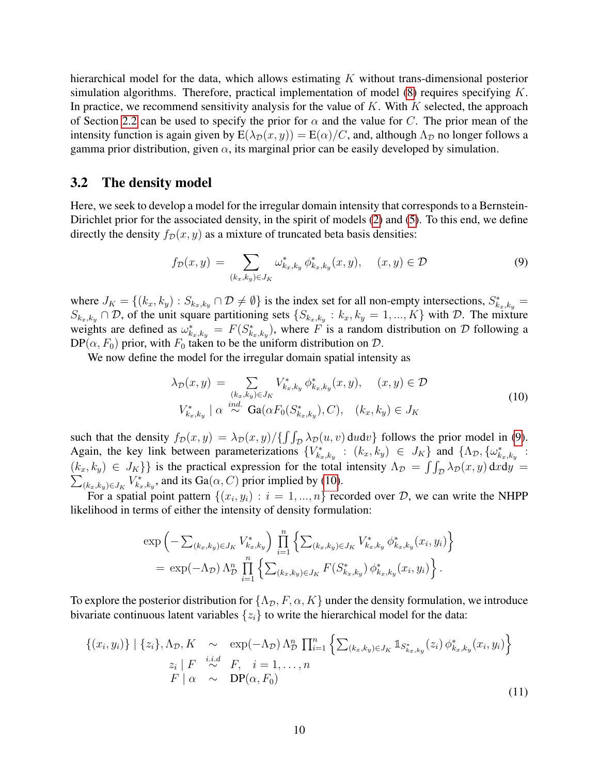hierarchical model for the data, which allows estimating  $K$  without trans-dimensional posterior simulation algorithms. Therefore, practical implementation of model  $(8)$  requires specifying K. In practice, we recommend sensitivity analysis for the value of  $K$ . With  $K$  selected, the approach of Section [2.2](#page-4-0) can be used to specify the prior for  $\alpha$  and the value for C. The prior mean of the intensity function is again given by  $E(\lambda_{\mathcal{D}}(x, y)) = E(\alpha)/C$ , and, although  $\Lambda_{\mathcal{D}}$  no longer follows a gamma prior distribution, given  $\alpha$ , its marginal prior can be easily developed by simulation.

#### <span id="page-9-0"></span>3.2 The density model

Here, we seek to develop a model for the irregular domain intensity that corresponds to a Bernstein-Dirichlet prior for the associated density, in the spirit of models [\(2\)](#page-3-0) and [\(5\)](#page-7-1). To this end, we define directly the density  $f_{\mathcal{D}}(x, y)$  as a mixture of truncated beta basis densities:

<span id="page-9-1"></span>
$$
f_{\mathcal{D}}(x,y) = \sum_{(k_x,k_y)\in J_K} \omega_{k_x,k_y}^* \phi_{k_x,k_y}^*(x,y), \quad (x,y) \in \mathcal{D}
$$
 (9)

where  $J_K = \{(k_x, k_y) : S_{k_x, k_y} \cap \mathcal{D} \neq \emptyset\}$  is the index set for all non-empty intersections,  $S_{k_x, k_y}^* =$  $S_{k_x,k_y} \cap \mathcal{D}$ , of the unit square partitioning sets  $\{S_{k_x,k_y}: k_x, k_y = 1, ..., K\}$  with  $\mathcal{D}$ . The mixture weights are defined as  $\omega_{k_x,k_y}^* = F(S_{k_x,k_y}^*)$ , where F is a random distribution on D following a  $DP(\alpha, F_0)$  prior, with  $F_0$  taken to be the uniform distribution on  $D$ .

We now define the model for the irregular domain spatial intensity as

<span id="page-9-2"></span>
$$
\lambda_{\mathcal{D}}(x,y) = \sum_{\substack{(k_x,k_y)\in J_K\\K_{x,k_y}}} V_{k_x,k_y}^* \phi_{k_x,k_y}^*(x,y), \quad (x,y) \in \mathcal{D}
$$
\n
$$
V_{k_x,k_y}^* \mid \alpha \stackrel{ind.}{\sim} \text{Ga}(\alpha F_0(S_{k_x,k_y}^*), C), \quad (k_x,k_y) \in J_K
$$
\n
$$
(10)
$$

such that the density  $f_D(x, y) = \lambda_D(x, y) / \{\int \int_D \lambda_D(u, v) \, du \, dv\}$  follows the prior model in [\(9\)](#page-9-1). Again, the key link between parameterizations  $\{V_{k_x,k_y}^*: (k_x, k_y) \in J_K\}$  and  $\{\Lambda_{\mathcal{D}}, \{\omega_{k_x,k_y}^*: \mathcal{D}, \{\omega_{k_x,k_y}\} \}$  $(k_x, k_y) \in J_K$ } is the practical expression for the total intensity  $\Lambda_{\mathcal{D}} = \int \int_{\mathcal{D}} \lambda_{\mathcal{D}}(x, y) dxdy$  $\sum_{(k_x,k_y)\in J_K} V_{k_x,k_y}^*$ , and its Ga $(\alpha, C)$  prior implied by [\(10\)](#page-9-2).

For a spatial point pattern  $\{(x_i, y_i) : i = 1, ..., n\}$  recorded over D, we can write the NHPP likelihood in terms of either the intensity of density formulation:

$$
\exp\left(-\sum_{(k_x,k_y)\in J_K}V_{k_x,k_y}^*\right) \prod_{i=1}^n \left\{\sum_{(k_x,k_y)\in J_K}V_{k_x,k_y}^*\phi_{k_x,k_y}^*(x_i,y_i)\right\}
$$

$$
= \exp(-\Lambda_{\mathcal{D}})\Lambda_{\mathcal{D}}^n \prod_{i=1}^n \left\{\sum_{(k_x,k_y)\in J_K}F(S_{k_x,k_y}^*)\phi_{k_x,k_y}^*(x_i,y_i)\right\}.
$$

To explore the posterior distribution for  $\{\Lambda_{\mathcal{D}}, F, \alpha, K\}$  under the density formulation, we introduce bivariate continuous latent variables  $\{z_i\}$  to write the hierarchical model for the data:

<span id="page-9-3"></span>
$$
\{(x_i, y_i)\} \mid \{z_i\}, \Lambda_{\mathcal{D}}, K \sim \exp(-\Lambda_{\mathcal{D}}) \Lambda_{\mathcal{D}}^n \prod_{i=1}^n \left\{ \sum_{(k_x, k_y) \in J_K} \mathbb{1}_{S^*_{k_x, k_y}}(z_i) \phi^*_{k_x, k_y}(x_i, y_i) \right\}
$$

$$
z_i \mid F \stackrel{i.i.d}{\sim} F, \quad i = 1, \dots, n
$$

$$
F \mid \alpha \sim \text{DP}(\alpha, F_0)
$$
(11)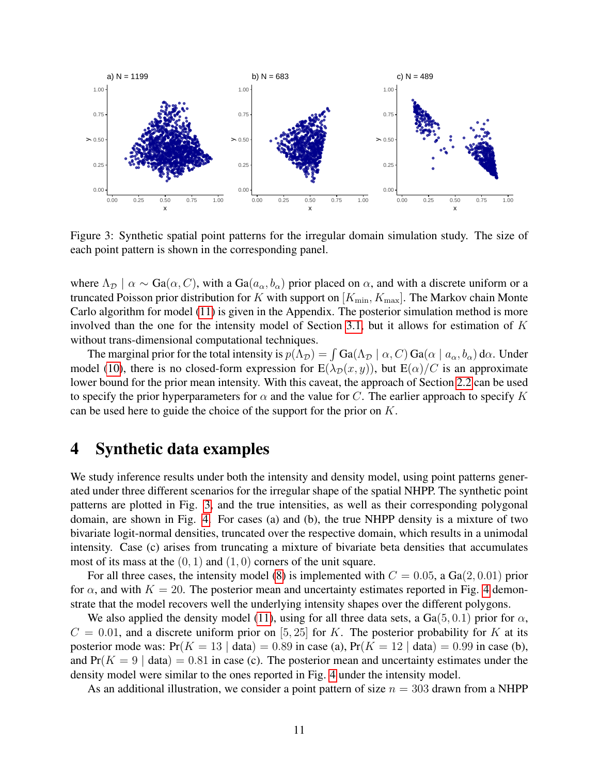

<span id="page-10-0"></span>Figure 3: Synthetic spatial point patterns for the irregular domain simulation study. The size of each point pattern is shown in the corresponding panel.

where  $\Lambda_{\cal D}$  |  $\alpha \sim \text{Ga}(\alpha, C)$ , with a  $\text{Ga}(a_{\alpha}, b_{\alpha})$  prior placed on  $\alpha$ , and with a discrete uniform or a truncated Poisson prior distribution for K with support on  $[K_{\min}, K_{\max}]$ . The Markov chain Monte Carlo algorithm for model [\(11\)](#page-9-3) is given in the Appendix. The posterior simulation method is more involved than the one for the intensity model of Section [3.1,](#page-8-0) but it allows for estimation of  $K$ without trans-dimensional computational techniques.

The marginal prior for the total intensity is  $p(\Lambda_{\mathcal{D}}) = \int Ga(\Lambda_{\mathcal{D}} \mid \alpha, C) Ga(\alpha \mid a_{\alpha}, b_{\alpha}) d\alpha$ . Under model [\(10\)](#page-9-2), there is no closed-form expression for  $E(\lambda_{\mathcal{D}}(x, y))$ , but  $E(\alpha)/C$  is an approximate lower bound for the prior mean intensity. With this caveat, the approach of Section [2.2](#page-4-0) can be used to specify the prior hyperparameters for  $\alpha$  and the value for C. The earlier approach to specify K can be used here to guide the choice of the support for the prior on K.

### 4 Synthetic data examples

We study inference results under both the intensity and density model, using point patterns generated under three different scenarios for the irregular shape of the spatial NHPP. The synthetic point patterns are plotted in Fig. [3,](#page-10-0) and the true intensities, as well as their corresponding polygonal domain, are shown in Fig. [4.](#page-11-0) For cases (a) and (b), the true NHPP density is a mixture of two bivariate logit-normal densities, truncated over the respective domain, which results in a unimodal intensity. Case (c) arises from truncating a mixture of bivariate beta densities that accumulates most of its mass at the  $(0, 1)$  and  $(1, 0)$  corners of the unit square.

For all three cases, the intensity model [\(8\)](#page-8-3) is implemented with  $C = 0.05$ , a  $Ga(2, 0.01)$  prior for  $\alpha$ , and with  $K = 20$ . The posterior mean and uncertainty estimates reported in Fig. [4](#page-11-0) demonstrate that the model recovers well the underlying intensity shapes over the different polygons.

We also applied the density model [\(11\)](#page-9-3), using for all three data sets, a  $Ga(5, 0.1)$  prior for  $\alpha$ ,  $C = 0.01$ , and a discrete uniform prior on [5, 25] for K. The posterior probability for K at its posterior mode was:  $Pr(K = 13 | data) = 0.89$  in case (a),  $Pr(K = 12 | data) = 0.99$  in case (b), and  $Pr(K = 9 | data) = 0.81$  in case (c). The posterior mean and uncertainty estimates under the density model were similar to the ones reported in Fig. [4](#page-11-0) under the intensity model.

As an additional illustration, we consider a point pattern of size  $n = 303$  drawn from a NHPP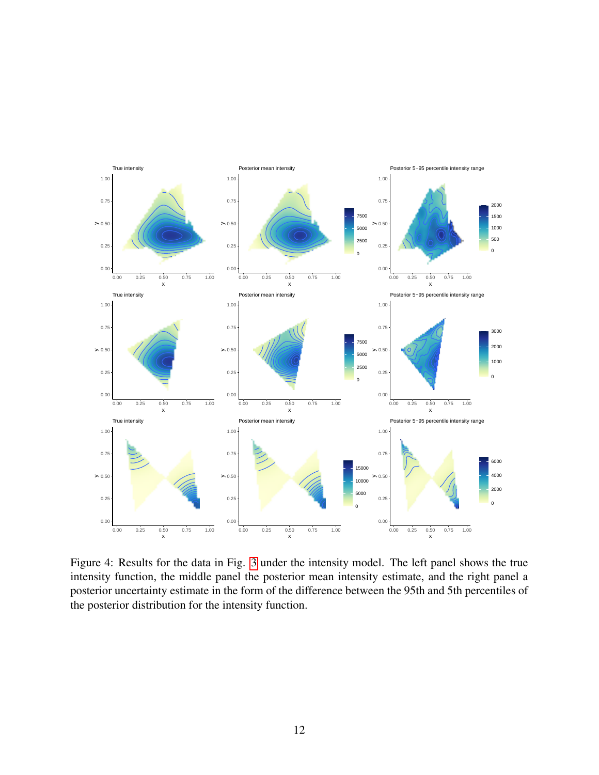

<span id="page-11-0"></span>Figure 4: Results for the data in Fig. [3](#page-10-0) under the intensity model. The left panel shows the true intensity function, the middle panel the posterior mean intensity estimate, and the right panel a posterior uncertainty estimate in the form of the difference between the 95th and 5th percentiles of the posterior distribution for the intensity function.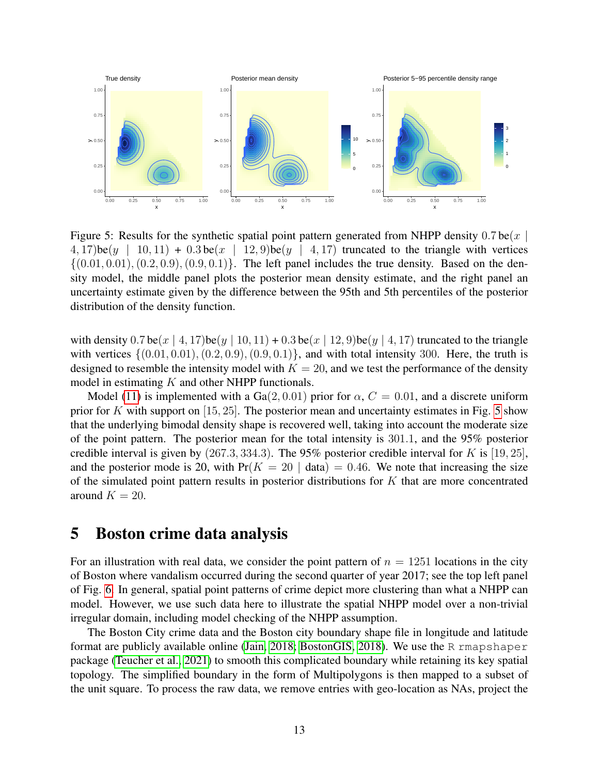

<span id="page-12-0"></span>Figure 5: Results for the synthetic spatial point pattern generated from NHPP density 0.7 be(x | 4, 17)be(y | 10, 11) + 0.3 be(x | 12, 9)be(y | 4, 17) truncated to the triangle with vertices  $\{(0.01, 0.01), (0.2, 0.9), (0.9, 0.1)\}.$  The left panel includes the true density. Based on the density model, the middle panel plots the posterior mean density estimate, and the right panel an uncertainty estimate given by the difference between the 95th and 5th percentiles of the posterior distribution of the density function.

with density  $0.7 \text{ be}(x \mid 4, 17) \text{ be}(y \mid 10, 11) + 0.3 \text{ be}(x \mid 12, 9) \text{ be}(y \mid 4, 17)$  truncated to the triangle with vertices  $\{(0.01, 0.01), (0.2, 0.9), (0.9, 0.1)\}$ , and with total intensity 300. Here, the truth is designed to resemble the intensity model with  $K = 20$ , and we test the performance of the density model in estimating  $K$  and other NHPP functionals.

Model [\(11\)](#page-9-3) is implemented with a Ga(2, 0.01) prior for  $\alpha$ ,  $C = 0.01$ , and a discrete uniform prior for K with support on  $[15, 25]$ . The posterior mean and uncertainty estimates in Fig. [5](#page-12-0) show that the underlying bimodal density shape is recovered well, taking into account the moderate size of the point pattern. The posterior mean for the total intensity is 301.1, and the 95% posterior credible interval is given by  $(267.3, 334.3)$ . The 95% posterior credible interval for K is [19, 25], and the posterior mode is 20, with  $Pr(K = 20 | data) = 0.46$ . We note that increasing the size of the simulated point pattern results in posterior distributions for  $K$  that are more concentrated around  $K = 20$ .

# 5 Boston crime data analysis

For an illustration with real data, we consider the point pattern of  $n = 1251$  locations in the city of Boston where vandalism occurred during the second quarter of year 2017; see the top left panel of Fig. [6.](#page-13-0) In general, spatial point patterns of crime depict more clustering than what a NHPP can model. However, we use such data here to illustrate the spatial NHPP model over a non-trivial irregular domain, including model checking of the NHPP assumption.

The Boston City crime data and the Boston city boundary shape file in longitude and latitude format are publicly available online [\(Jain, 2018;](#page-16-13) [BostonGIS, 2018\)](#page-15-9). We use the R rmapshaper package [\(Teucher et al., 2021\)](#page-17-12) to smooth this complicated boundary while retaining its key spatial topology. The simplified boundary in the form of Multipolygons is then mapped to a subset of the unit square. To process the raw data, we remove entries with geo-location as NAs, project the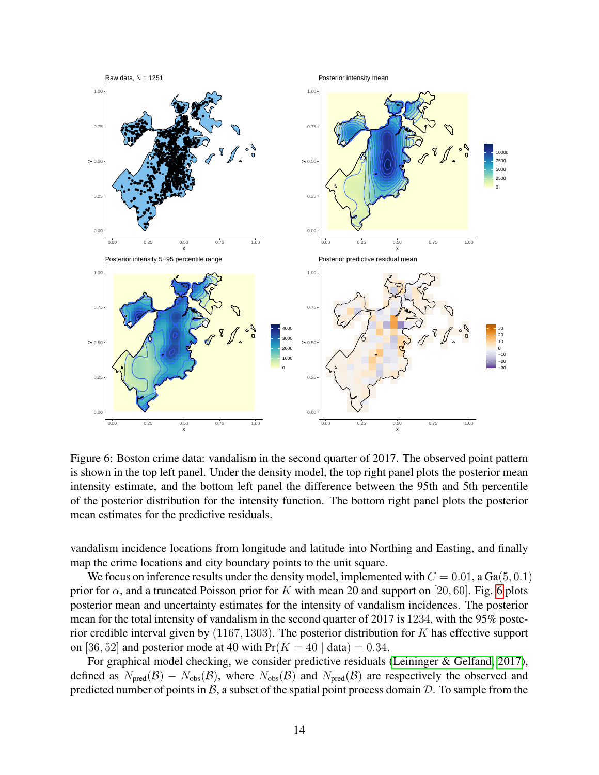

<span id="page-13-0"></span>Figure 6: Boston crime data: vandalism in the second quarter of 2017. The observed point pattern is shown in the top left panel. Under the density model, the top right panel plots the posterior mean intensity estimate, and the bottom left panel the difference between the 95th and 5th percentile of the posterior distribution for the intensity function. The bottom right panel plots the posterior mean estimates for the predictive residuals.

vandalism incidence locations from longitude and latitude into Northing and Easting, and finally map the crime locations and city boundary points to the unit square.

We focus on inference results under the density model, implemented with  $C = 0.01$ , a Ga $(5, 0.1)$ prior for  $\alpha$ , and a truncated Poisson prior for K with mean 20 and support on [20, [6](#page-13-0)0]. Fig. 6 plots posterior mean and uncertainty estimates for the intensity of vandalism incidences. The posterior mean for the total intensity of vandalism in the second quarter of 2017 is 1234, with the 95% posterior credible interval given by  $(1167, 1303)$ . The posterior distribution for K has effective support on [36, 52] and posterior mode at 40 with  $Pr(K = 40 | data) = 0.34$ .

For graphical model checking, we consider predictive residuals [\(Leininger & Gelfand, 2017\)](#page-16-14), defined as  $N_{pred}(\mathcal{B}) - N_{obs}(\mathcal{B})$ , where  $N_{obs}(\mathcal{B})$  and  $N_{pred}(\mathcal{B})$  are respectively the observed and predicted number of points in  $\beta$ , a subset of the spatial point process domain  $\mathcal{D}$ . To sample from the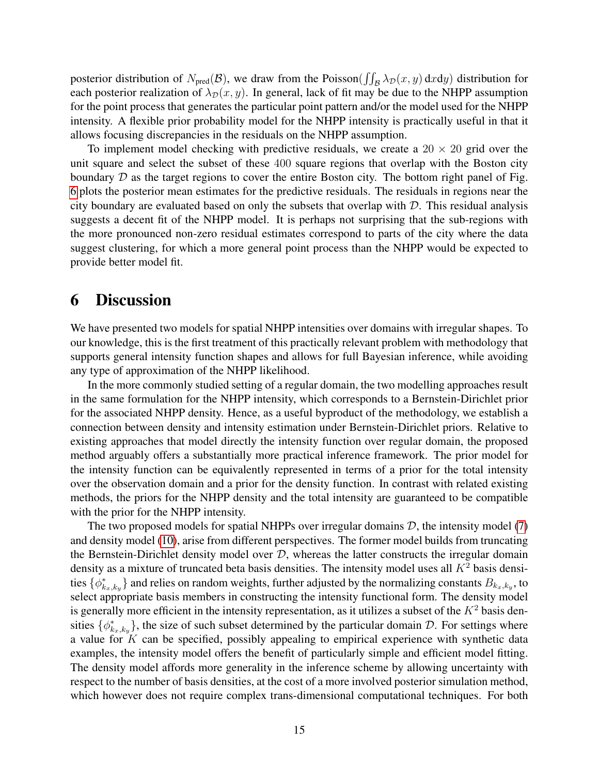posterior distribution of  $N_{pred}(\mathcal{B})$ , we draw from the Poisson( $\iint_{\mathcal{B}} \lambda_{\mathcal{D}}(x, y) \,dxdy$ ) distribution for each posterior realization of  $\lambda_{\mathcal{D}}(x, y)$ . In general, lack of fit may be due to the NHPP assumption for the point process that generates the particular point pattern and/or the model used for the NHPP intensity. A flexible prior probability model for the NHPP intensity is practically useful in that it allows focusing discrepancies in the residuals on the NHPP assumption.

To implement model checking with predictive residuals, we create a  $20 \times 20$  grid over the unit square and select the subset of these 400 square regions that overlap with the Boston city boundary  $D$  as the target regions to cover the entire Boston city. The bottom right panel of Fig. [6](#page-13-0) plots the posterior mean estimates for the predictive residuals. The residuals in regions near the city boundary are evaluated based on only the subsets that overlap with  $D$ . This residual analysis suggests a decent fit of the NHPP model. It is perhaps not surprising that the sub-regions with the more pronounced non-zero residual estimates correspond to parts of the city where the data suggest clustering, for which a more general point process than the NHPP would be expected to provide better model fit.

### 6 Discussion

We have presented two models for spatial NHPP intensities over domains with irregular shapes. To our knowledge, this is the first treatment of this practically relevant problem with methodology that supports general intensity function shapes and allows for full Bayesian inference, while avoiding any type of approximation of the NHPP likelihood.

In the more commonly studied setting of a regular domain, the two modelling approaches result in the same formulation for the NHPP intensity, which corresponds to a Bernstein-Dirichlet prior for the associated NHPP density. Hence, as a useful byproduct of the methodology, we establish a connection between density and intensity estimation under Bernstein-Dirichlet priors. Relative to existing approaches that model directly the intensity function over regular domain, the proposed method arguably offers a substantially more practical inference framework. The prior model for the intensity function can be equivalently represented in terms of a prior for the total intensity over the observation domain and a prior for the density function. In contrast with related existing methods, the priors for the NHPP density and the total intensity are guaranteed to be compatible with the prior for the NHPP intensity.

The two proposed models for spatial NHPPs over irregular domains  $D$ , the intensity model [\(7\)](#page-8-1) and density model [\(10\)](#page-9-2), arise from different perspectives. The former model builds from truncating the Bernstein-Dirichlet density model over  $D$ , whereas the latter constructs the irregular domain density as a mixture of truncated beta basis densities. The intensity model uses all  $K^2$  basis densities  $\{\phi^*_{k_x,k_y}\}$  and relies on random weights, further adjusted by the normalizing constants  $B_{k_x,k_y}$ , to select appropriate basis members in constructing the intensity functional form. The density model is generally more efficient in the intensity representation, as it utilizes a subset of the  $K^2$  basis densities  $\{\phi_{k_x,k_y}^*\}$ , the size of such subset determined by the particular domain D. For settings where a value for  $K$  can be specified, possibly appealing to empirical experience with synthetic data examples, the intensity model offers the benefit of particularly simple and efficient model fitting. The density model affords more generality in the inference scheme by allowing uncertainty with respect to the number of basis densities, at the cost of a more involved posterior simulation method, which however does not require complex trans-dimensional computational techniques. For both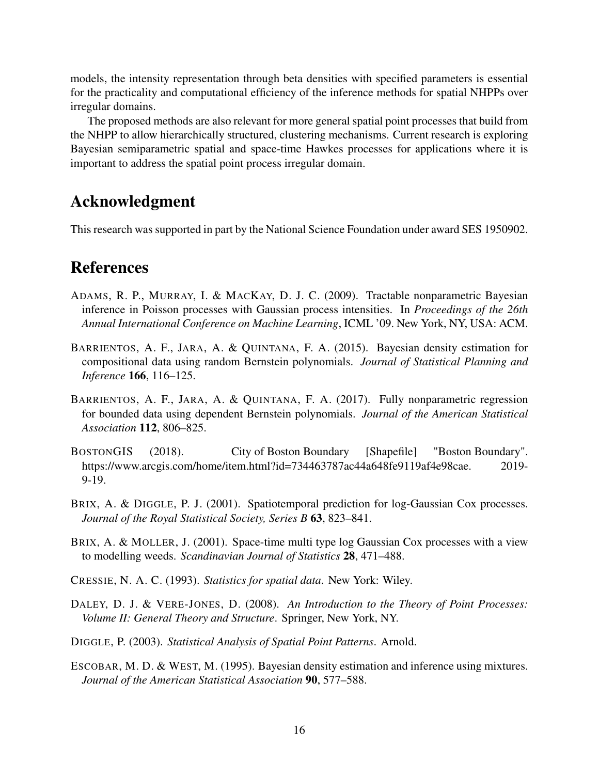models, the intensity representation through beta densities with specified parameters is essential for the practicality and computational efficiency of the inference methods for spatial NHPPs over irregular domains.

The proposed methods are also relevant for more general spatial point processes that build from the NHPP to allow hierarchically structured, clustering mechanisms. Current research is exploring Bayesian semiparametric spatial and space-time Hawkes processes for applications where it is important to address the spatial point process irregular domain.

# Acknowledgment

This research was supported in part by the National Science Foundation under award SES 1950902.

### References

- <span id="page-15-3"></span>ADAMS, R. P., MURRAY, I. & MACKAY, D. J. C. (2009). Tractable nonparametric Bayesian inference in Poisson processes with Gaussian process intensities. In *Proceedings of the 26th Annual International Conference on Machine Learning*, ICML '09. New York, NY, USA: ACM.
- <span id="page-15-6"></span>BARRIENTOS, A. F., JARA, A. & QUINTANA, F. A. (2015). Bayesian density estimation for compositional data using random Bernstein polynomials. *Journal of Statistical Planning and Inference* 166, 116–125.
- <span id="page-15-7"></span>BARRIENTOS, A. F., JARA, A. & QUINTANA, F. A. (2017). Fully nonparametric regression for bounded data using dependent Bernstein polynomials. *Journal of the American Statistical Association* 112, 806–825.
- <span id="page-15-9"></span>BOSTONGIS (2018). City of Boston Boundary [Shapefile] "Boston Boundary". https://www.arcgis.com/home/item.html?id=734463787ac44a648fe9119af4e98cae. 2019-9-19.
- <span id="page-15-5"></span>BRIX, A. & DIGGLE, P. J. (2001). Spatiotemporal prediction for log-Gaussian Cox processes. *Journal of the Royal Statistical Society, Series B* 63, 823–841.
- <span id="page-15-4"></span>BRIX, A. & MOLLER, J. (2001). Space-time multi type log Gaussian Cox processes with a view to modelling weeds. *Scandinavian Journal of Statistics* 28, 471–488.
- <span id="page-15-0"></span>CRESSIE, N. A. C. (1993). *Statistics for spatial data*. New York: Wiley.
- <span id="page-15-1"></span>DALEY, D. J. & VERE-JONES, D. (2008). *An Introduction to the Theory of Point Processes: Volume II: General Theory and Structure*. Springer, New York, NY.
- <span id="page-15-2"></span>DIGGLE, P. (2003). *Statistical Analysis of Spatial Point Patterns*. Arnold.
- <span id="page-15-8"></span>ESCOBAR, M. D. & WEST, M. (1995). Bayesian density estimation and inference using mixtures. *Journal of the American Statistical Association* 90, 577–588.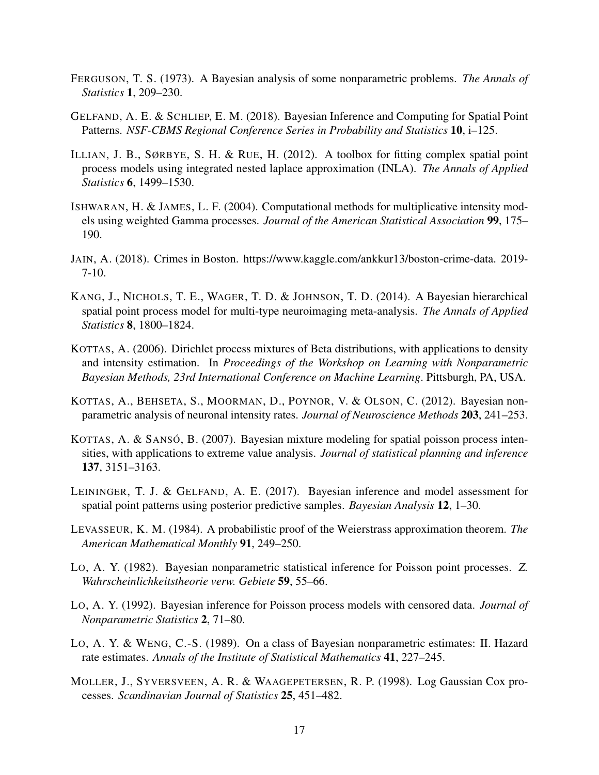- <span id="page-16-11"></span>FERGUSON, T. S. (1973). A Bayesian analysis of some nonparametric problems. *The Annals of Statistics* 1, 209–230.
- <span id="page-16-0"></span>GELFAND, A. E. & SCHLIEP, E. M. (2018). Bayesian Inference and Computing for Spatial Point Patterns. *NSF-CBMS Regional Conference Series in Probability and Statistics* 10, i–125.
- <span id="page-16-7"></span>ILLIAN, J. B., SØRBYE, S. H. & RUE, H. (2012). A toolbox for fitting complex spatial point process models using integrated nested laplace approximation (INLA). *The Annals of Applied Statistics* 6, 1499–1530.
- <span id="page-16-4"></span>ISHWARAN, H. & JAMES, L. F. (2004). Computational methods for multiplicative intensity models using weighted Gamma processes. *Journal of the American Statistical Association* 99, 175– 190.
- <span id="page-16-13"></span>JAIN, A. (2018). Crimes in Boston. https://www.kaggle.com/ankkur13/boston-crime-data. 2019- 7-10.
- <span id="page-16-5"></span>KANG, J., NICHOLS, T. E., WAGER, T. D. & JOHNSON, T. D. (2014). A Bayesian hierarchical spatial point process model for multi-type neuroimaging meta-analysis. *The Annals of Applied Statistics* 8, 1800–1824.
- <span id="page-16-8"></span>KOTTAS, A. (2006). Dirichlet process mixtures of Beta distributions, with applications to density and intensity estimation. In *Proceedings of the Workshop on Learning with Nonparametric Bayesian Methods, 23rd International Conference on Machine Learning*. Pittsburgh, PA, USA.
- <span id="page-16-10"></span>KOTTAS, A., BEHSETA, S., MOORMAN, D., POYNOR, V. & OLSON, C. (2012). Bayesian nonparametric analysis of neuronal intensity rates. *Journal of Neuroscience Methods* 203, 241–253.
- <span id="page-16-9"></span>KOTTAS, A. & SANSÓ, B. (2007). Bayesian mixture modeling for spatial poisson process intensities, with applications to extreme value analysis. *Journal of statistical planning and inference* 137, 3151–3163.
- <span id="page-16-14"></span>LEININGER, T. J. & GELFAND, A. E. (2017). Bayesian inference and model assessment for spatial point patterns using posterior predictive samples. *Bayesian Analysis* 12, 1–30.
- <span id="page-16-12"></span>LEVASSEUR, K. M. (1984). A probabilistic proof of the Weierstrass approximation theorem. *The American Mathematical Monthly* 91, 249–250.
- <span id="page-16-1"></span>LO, A. Y. (1982). Bayesian nonparametric statistical inference for Poisson point processes. *Z. Wahrscheinlichkeitstheorie verw. Gebiete* 59, 55–66.
- <span id="page-16-2"></span>LO, A. Y. (1992). Bayesian inference for Poisson process models with censored data. *Journal of Nonparametric Statistics* 2, 71–80.
- <span id="page-16-3"></span>LO, A. Y. & WENG, C.-S. (1989). On a class of Bayesian nonparametric estimates: II. Hazard rate estimates. *Annals of the Institute of Statistical Mathematics* 41, 227–245.
- <span id="page-16-6"></span>MOLLER, J., SYVERSVEEN, A. R. & WAAGEPETERSEN, R. P. (1998). Log Gaussian Cox processes. *Scandinavian Journal of Statistics* 25, 451–482.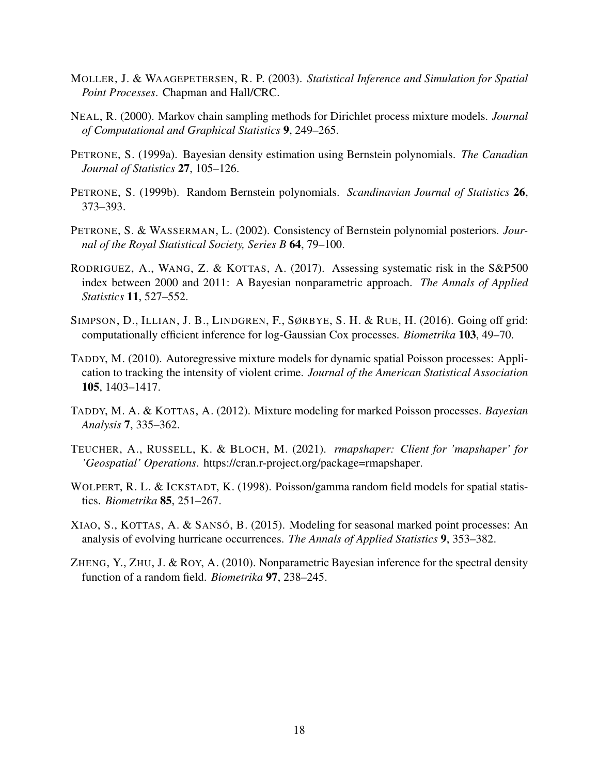- <span id="page-17-0"></span>MOLLER, J. & WAAGEPETERSEN, R. P. (2003). *Statistical Inference and Simulation for Spatial Point Processes*. Chapman and Hall/CRC.
- <span id="page-17-11"></span>NEAL, R. (2000). Markov chain sampling methods for Dirichlet process mixture models. *Journal of Computational and Graphical Statistics* 9, 249–265.
- <span id="page-17-7"></span>PETRONE, S. (1999a). Bayesian density estimation using Bernstein polynomials. *The Canadian Journal of Statistics* 27, 105–126.
- <span id="page-17-8"></span>PETRONE, S. (1999b). Random Bernstein polynomials. *Scandinavian Journal of Statistics* 26, 373–393.
- <span id="page-17-9"></span>PETRONE, S. & WASSERMAN, L. (2002). Consistency of Bernstein polynomial posteriors. *Journal of the Royal Statistical Society, Series B* 64, 79–100.
- <span id="page-17-5"></span>RODRIGUEZ, A., WANG, Z. & KOTTAS, A. (2017). Assessing systematic risk in the S&P500 index between 2000 and 2011: A Bayesian nonparametric approach. *The Annals of Applied Statistics* 11, 527–552.
- <span id="page-17-6"></span>SIMPSON, D., ILLIAN, J. B., LINDGREN, F., SØRBYE, S. H. & RUE, H. (2016). Going off grid: computationally efficient inference for log-Gaussian Cox processes. *Biometrika* 103, 49–70.
- <span id="page-17-3"></span>TADDY, M. (2010). Autoregressive mixture models for dynamic spatial Poisson processes: Application to tracking the intensity of violent crime. *Journal of the American Statistical Association* 105, 1403–1417.
- <span id="page-17-2"></span>TADDY, M. A. & KOTTAS, A. (2012). Mixture modeling for marked Poisson processes. *Bayesian Analysis* 7, 335–362.
- <span id="page-17-12"></span>TEUCHER, A., RUSSELL, K. & BLOCH, M. (2021). *rmapshaper: Client for 'mapshaper' for 'Geospatial' Operations*. https://cran.r-project.org/package=rmapshaper.
- <span id="page-17-1"></span>WOLPERT, R. L. & ICKSTADT, K. (1998). Poisson/gamma random field models for spatial statistics. *Biometrika* 85, 251–267.
- <span id="page-17-4"></span>XIAO, S., KOTTAS, A. & SANSÓ, B. (2015). Modeling for seasonal marked point processes: An analysis of evolving hurricane occurrences. *The Annals of Applied Statistics* 9, 353–382.
- <span id="page-17-10"></span>ZHENG, Y., ZHU, J. & ROY, A. (2010). Nonparametric Bayesian inference for the spectral density function of a random field. *Biometrika* 97, 238–245.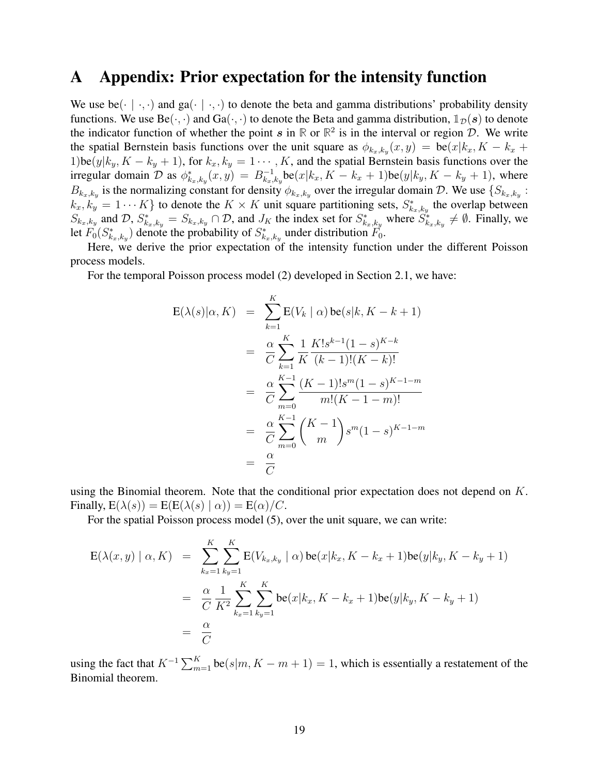### A Appendix: Prior expectation for the intensity function

We use be( $\cdot \cdot | \cdot \cdot$ ) and ga $\cdot | \cdot \cdot \cdot$ ) to denote the beta and gamma distributions' probability density functions. We use  $Be(\cdot, \cdot)$  and  $Ga(\cdot, \cdot)$  to denote the Beta and gamma distribution,  $\mathbb{1}_D(s)$  to denote the indicator function of whether the point  $s$  in  $\mathbb{R}$  or  $\mathbb{R}^2$  is in the interval or region  $\mathcal{D}$ . We write the spatial Bernstein basis functions over the unit square as  $\phi_{k_x,k_y}(x,y) = \mathbf{be}(x|k_x, K - k_x +$ 1)be(y|k<sub>y</sub>,  $K - k_y + 1$ ), for  $k_x$ ,  $k_y = 1 \cdots$ , K, and the spatial Bernstein basis functions over the irregular domain  $\mathcal{D}$  as  $\phi_{k_x,k_y}^*(x,y) = B_{k_x,k_x}^{-1}$  $\sum_{k_x,k_y}^{-1}$ be $(x|k_x, K - k_x + 1)$ be $(y|k_y, K - k_y + 1)$ , where  $B_{k_x,k_y}$  is the normalizing constant for density  $\phi_{k_x,k_y}$  over the irregular domain D. We use  $\{S_{k_x,k_y}$ :  $k_x, k_y = 1 \cdots K$  to denote the  $K \times K$  unit square partitioning sets,  $S^*_{k_x, k_y}$  the overlap between  $S_{k_x,k_y}$  and D,  $S_{k_x,k_y}^* = S_{k_x,k_y} \cap \mathcal{D}$ , and  $J_K$  the index set for  $S_{k_x,k_y}^*$  where  $S_{k_x,k_y}^* \neq \emptyset$ . Finally, we let  $F_0(S^*_{k_x,k_y})$  denote the probability of  $S^*_{k_x,k_y}$  under distribution  $F_0$ .

Here, we derive the prior expectation of the intensity function under the different Poisson process models.

For the temporal Poisson process model (2) developed in Section 2.1, we have:

$$
E(\lambda(s)|\alpha, K) = \sum_{k=1}^{K} E(V_k | \alpha) be(s|k, K - k + 1)
$$
  
= 
$$
\frac{\alpha}{C} \sum_{k=1}^{K} \frac{1}{K} \frac{K! s^{k-1} (1 - s)^{K-k}}{(k-1)!(K-k)!}
$$
  
= 
$$
\frac{\alpha}{C} \sum_{m=0}^{K-1} \frac{(K-1)! s^m (1 - s)^{K-1-m}}{m!(K-1-m)!}
$$
  
= 
$$
\frac{\alpha}{C} \sum_{m=0}^{K-1} {K-1 \choose m} s^m (1 - s)^{K-1-m}
$$
  
= 
$$
\frac{\alpha}{C}
$$

using the Binomial theorem. Note that the conditional prior expectation does not depend on K. Finally,  $E(\lambda(s)) = E(E(\lambda(s) | \alpha)) = E(\alpha)/C$ .

For the spatial Poisson process model (5), over the unit square, we can write:

$$
E(\lambda(x, y) | \alpha, K) = \sum_{k_x=1}^{K} \sum_{k_y=1}^{K} E(V_{k_x, k_y} | \alpha) be(x|k_x, K - k_x + 1) be(y|k_y, K - k_y + 1)
$$
  
= 
$$
\frac{\alpha}{C} \frac{1}{K^2} \sum_{k_x=1}^{K} \sum_{k_y=1}^{K} be(x|k_x, K - k_x + 1) be(y|k_y, K - k_y + 1)
$$
  
= 
$$
\frac{\alpha}{C}
$$

using the fact that  $K^{-1} \sum_{m=1}^{K} \text{be}(s|m, K-m+1) = 1$ , which is essentially a restatement of the Binomial theorem.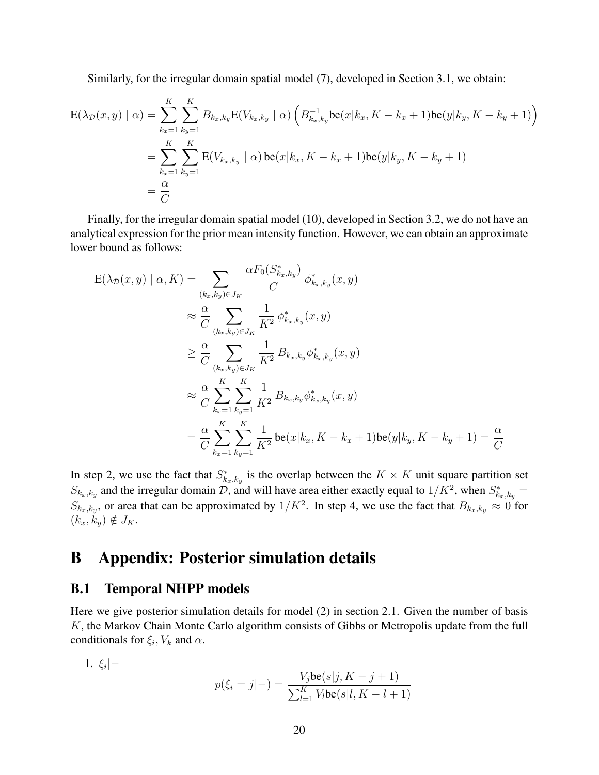Similarly, for the irregular domain spatial model (7), developed in Section 3.1, we obtain:

$$
E(\lambda_{\mathcal{D}}(x, y) | \alpha) = \sum_{k_x=1}^{K} \sum_{k_y=1}^{K} B_{k_x, k_y} E(V_{k_x, k_y} | \alpha) \left( B_{k_x, k_y}^{-1} \text{be}(x | k_x, K - k_x + 1) \text{be}(y | k_y, K - k_y + 1) \right)
$$
  
= 
$$
\sum_{k_x=1}^{K} \sum_{k_y=1}^{K} E(V_{k_x, k_y} | \alpha) \text{be}(x | k_x, K - k_x + 1) \text{be}(y | k_y, K - k_y + 1)
$$
  
= 
$$
\frac{\alpha}{C}
$$

Finally, for the irregular domain spatial model (10), developed in Section 3.2, we do not have an analytical expression for the prior mean intensity function. However, we can obtain an approximate lower bound as follows:

$$
E(\lambda_{\mathcal{D}}(x, y) | \alpha, K) = \sum_{(k_x, k_y) \in J_K} \frac{\alpha F_0(S_{k_x, k_y}^*)}{C} \phi_{k_x, k_y}^*(x, y)
$$
  
\n
$$
\approx \frac{\alpha}{C} \sum_{(k_x, k_y) \in J_K} \frac{1}{K^2} \phi_{k_x, k_y}^*(x, y)
$$
  
\n
$$
\geq \frac{\alpha}{C} \sum_{(k_x, k_y) \in J_K} \frac{1}{K^2} B_{k_x, k_y} \phi_{k_x, k_y}^*(x, y)
$$
  
\n
$$
\approx \frac{\alpha}{C} \sum_{k_x=1}^K \sum_{k_y=1}^K \frac{1}{K^2} B_{k_x, k_y} \phi_{k_x, k_y}^*(x, y)
$$
  
\n
$$
= \frac{\alpha}{C} \sum_{k_x=1}^K \sum_{k_y=1}^K \frac{1}{K^2} \log(x | k_x, K - k_x + 1) \log(y | k_y, K - k_y + 1) = \frac{\alpha}{C}
$$

In step 2, we use the fact that  $S^*_{k_x,k_y}$  is the overlap between the  $K \times K$  unit square partition set  $S_{k_x,k_y}$  and the irregular domain D, and will have area either exactly equal to  $1/K^2$ , when  $S_{k_x,k_y}^*$  =  $S_{k_x,k_y}$ , or area that can be approximated by  $1/K^2$ . In step 4, we use the fact that  $B_{k_x,k_y} \approx 0$  for  $(k_x, k_y) \notin J_K$ .

# B Appendix: Posterior simulation details

#### B.1 Temporal NHPP models

Here we give posterior simulation details for model (2) in section 2.1. Given the number of basis K, the Markov Chain Monte Carlo algorithm consists of Gibbs or Metropolis update from the full conditionals for  $\xi_i$ ,  $V_k$  and  $\alpha$ .

1.  $\xi_i$ |-

$$
p(\xi_i = j|-) = \frac{V_j \text{be}(s|j, K - j + 1)}{\sum_{l=1}^{K} V_l \text{be}(s|l, K - l + 1)}
$$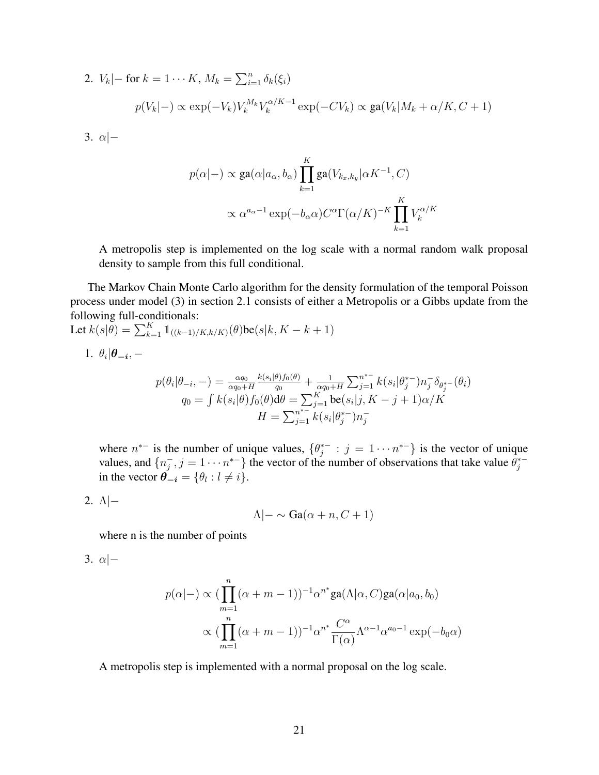2. 
$$
V_k
$$
|- for  $k = 1 \cdots K$ ,  $M_k = \sum_{i=1}^n \delta_k(\xi_i)$   

$$
p(V_k|-) \propto \exp(-V_k)V_k^{M_k}V_k^{\alpha/K-1} \exp(-CV_k) \propto \text{ga}(V_k|M_k + \alpha/K, C+1)
$$

$$
3. \ \alpha | -
$$

$$
p(\alpha|-) \propto \text{ga}(\alpha|a_{\alpha}, b_{\alpha}) \prod_{k=1}^{K} \text{ga}(V_{k_x, k_y} | \alpha K^{-1}, C)
$$

$$
\propto \alpha^{a_{\alpha}-1} \exp(-b_{\alpha}\alpha) C^{\alpha} \Gamma(\alpha/K)^{-K} \prod_{k=1}^{K} V_k^{\alpha/K}
$$

A metropolis step is implemented on the log scale with a normal random walk proposal density to sample from this full conditional.

The Markov Chain Monte Carlo algorithm for the density formulation of the temporal Poisson process under model (3) in section 2.1 consists of either a Metropolis or a Gibbs update from the following full-conditionals:

Let 
$$
k(s|\theta) = \sum_{k=1}^{K} \mathbb{1}_{((k-1)/K,k/K)}(\theta) \text{be}(s|k, K - k + 1)
$$
  
\n1.  $\theta_i | \theta_{-i}, -$   
\n
$$
p(\theta_i | \theta_{-i}, -) = \frac{\alpha q_0}{\alpha q_0 + H} \frac{k(s_i|\theta) f_0(\theta)}{q_0} + \frac{1}{\alpha q_0 + H} \sum_{j=1}^{n^*-1} k(s_i | \theta_j^*) n_j^- \delta_{\theta_j^* -}(\theta_i)
$$
\n
$$
q_0 = \int k(s_i|\theta) f_0(\theta) d\theta = \sum_{j=1}^{K} \text{be}(s_i|j, K - j + 1) \alpha/K
$$
\n
$$
H = \sum_{j=1}^{n^*-1} k(s_i | \theta_j^*) n_j^-
$$

where  $n^{*-}$  is the number of unique values,  $\{\theta_i^{*-}\}$  $j_j^*$  :  $j = 1 \cdots n^{*-}$  is the vector of unique values, and  $\{n_i^{-}\}$  $j, j = 1 \cdots n^{*-}$  the vector of the number of observations that take value  $\theta_j^{*-}$ j in the vector  $\theta_{-i} = \{\theta_i : l \neq i\}.$ 

2.  $\Lambda$ |−

$$
\Lambda|-\sim Ga(\alpha+n,C+1)
$$

where n is the number of points

3.  $\alpha$ |−

$$
p(\alpha|-) \propto \left(\prod_{m=1}^{n} (\alpha+m-1)\right)^{-1} \alpha^{n^*} \mathbf{g}(\mathbf{a}|\alpha, C) \mathbf{g}(\alpha|a_0, b_0)
$$

$$
\propto \left(\prod_{m=1}^{n} (\alpha+m-1)\right)^{-1} \alpha^{n^*} \frac{C^{\alpha}}{\Gamma(\alpha)} \Lambda^{\alpha-1} \alpha^{a_0-1} \exp(-b_0 \alpha)
$$

A metropolis step is implemented with a normal proposal on the log scale.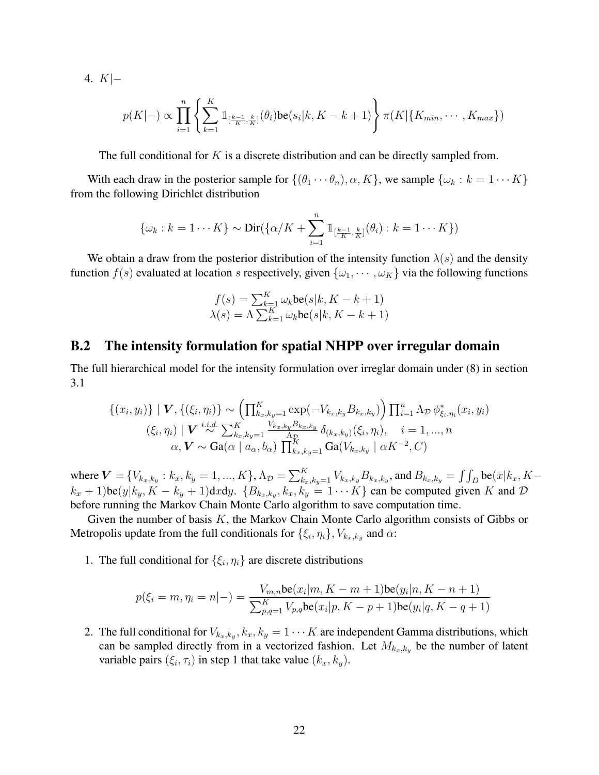4. K|−

$$
p(K|-) \propto \prod_{i=1}^{n} \left\{ \sum_{k=1}^{K} \mathbb{1}_{\left[\frac{k-1}{K}, \frac{k}{K}\right]}(\theta_i) \text{be}(s_i|k, K-k+1) \right\} \pi(K|\{K_{min}, \cdots, K_{max}\})
$$

The full conditional for  $K$  is a discrete distribution and can be directly sampled from.

With each draw in the posterior sample for  $\{(\theta_1 \cdots \theta_n), \alpha, K\}$ , we sample  $\{\omega_k : k = 1 \cdots K\}$ from the following Dirichlet distribution

$$
\{\omega_k : k = 1 \cdots K\} \sim \text{Dir}(\{\alpha/K + \sum_{i=1}^n \mathbb{1}_{\left[\frac{k-1}{K}, \frac{k}{K}\right]}(\theta_i) : k = 1 \cdots K\})
$$

We obtain a draw from the posterior distribution of the intensity function  $\lambda(s)$  and the density function  $f(s)$  evaluated at location s respectively, given  $\{\omega_1, \cdots, \omega_K\}$  via the following functions

$$
f(s) = \sum_{k=1}^{K} \omega_k \text{be}(s|k, K - k + 1)
$$

$$
\lambda(s) = \Lambda \sum_{k=1}^{K} \omega_k \text{be}(s|k, K - k + 1)
$$

#### B.2 The intensity formulation for spatial NHPP over irregular domain

The full hierarchical model for the intensity formulation over irreglar domain under (8) in section 3.1

$$
\{(x_i, y_i)\} | \mathbf{V}, \{(\xi_i, \eta_i)\} \sim \left(\prod_{k_x, k_y=1}^K \exp(-V_{k_x, k_y} B_{k_x, k_y})\right) \prod_{i=1}^n \Lambda_D \phi_{\xi_i, \eta_i}^*(x_i, y_i)
$$
  

$$
(\xi_i, \eta_i) | \mathbf{V} \sim \sum_{k_x, k_y=1}^K \frac{V_{k_x, k_y} B_{k_x, k_y}}{\Lambda_D} \delta_{(k_x, k_y)}(\xi_i, \eta_i), \quad i = 1, ..., n
$$
  

$$
\alpha, \mathbf{V} \sim \text{Ga}(\alpha | a_{\alpha}, b_{\alpha}) \prod_{k_x, k_y=1}^K \text{Ga}(V_{k_x, k_y} | \alpha K^{-2}, C)
$$

where  $\bm{V} = \{V_{k_x,k_y}: k_x,k_y=1,...,K\}$ ,  $\Lambda_{\mathcal{D}} = \sum_{k_x,k_y=1}^{K} V_{k_x,k_y} B_{k_x,k_y}$ , and  $B_{k_x,k_y} = \int \int_D \text{be}(x|k_x,K-x) dE$  $(k_x + 1)$ be $(y|k_y, K - k_y + 1)$ d $xdy$ .  $\{B_{k_x, k_y}, k_x, k_y = 1 \cdots K\}$  can be computed given K and  $\mathcal{D}$ before running the Markov Chain Monte Carlo algorithm to save computation time.

Given the number of basis  $K$ , the Markov Chain Monte Carlo algorithm consists of Gibbs or Metropolis update from the full conditionals for  $\{\xi_i, \eta_i\}$ ,  $V_{k_x, k_y}$  and  $\alpha$ :

1. The full conditional for  $\{\xi_i, \eta_i\}$  are discrete distributions

$$
p(\xi_i = m, \eta_i = n|-) = \frac{V_{m,n} \text{be}(x_i | m, K - m + 1) \text{be}(y_i | n, K - n + 1)}{\sum_{p,q=1}^{K} V_{p,q} \text{be}(x_i | p, K - p + 1) \text{be}(y_i | q, K - q + 1)}
$$

2. The full conditional for  $V_{k_x,k_y}, k_x, k_y = 1 \cdots K$  are independent Gamma distributions, which can be sampled directly from in a vectorized fashion. Let  $M_{k_x,k_y}$  be the number of latent variable pairs  $(\xi_i, \tau_i)$  in step 1 that take value  $(k_x, k_y)$ .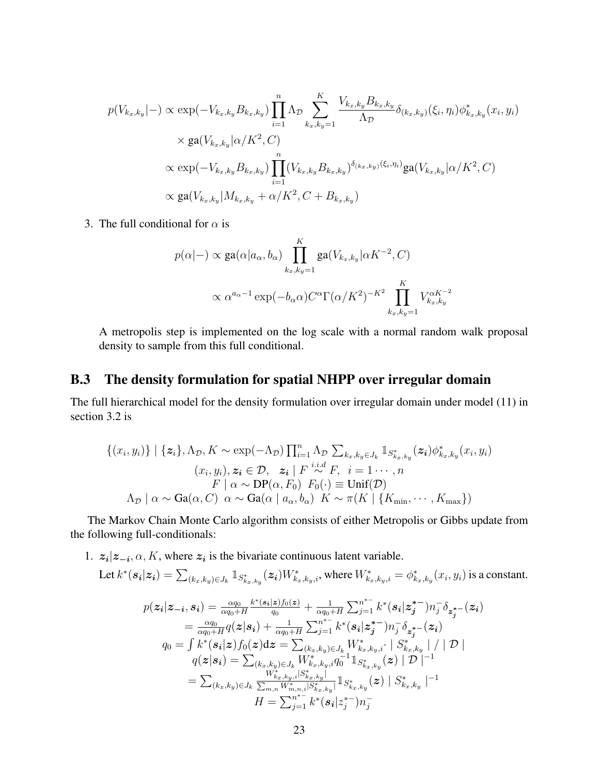$$
p(V_{k_x,k_y}|-) \propto \exp(-V_{k_x,k_y}B_{k_x,k_y}) \prod_{i=1}^n \Lambda_D \sum_{k_x,k_y=1}^K \frac{V_{k_x,k_y}B_{k_x,k_y}}{\Lambda_D} \delta_{(k_x,k_y)}(\xi_i, \eta_i) \phi_{k_x,k_y}^*(x_i, y_i)
$$
  
 
$$
\times \text{ga}(V_{k_x,k_y}|\alpha/K^2, C)
$$
  
 
$$
\propto \exp(-V_{k_x,k_y}B_{k_x,k_y}) \prod_{i=1}^n (V_{k_x,k_y}B_{k_x,k_y})^{\delta_{(k_x,k_y)}(\xi_i, \eta_i)} \text{ga}(V_{k_x,k_y}|\alpha/K^2, C)
$$
  
 
$$
\propto \text{ga}(V_{k_x,k_y}|M_{k_x,k_y} + \alpha/K^2, C + B_{k_x,k_y})
$$

3. The full conditional for  $\alpha$  is

$$
p(\alpha|-) \propto \text{ga}(\alpha|a_{\alpha}, b_{\alpha}) \prod_{k_x, k_y=1}^{K} \text{ga}(V_{k_x, k_y}|\alpha K^{-2}, C)
$$

$$
\propto \alpha^{a_{\alpha}-1} \exp(-b_{\alpha}\alpha) C^{\alpha} \Gamma(\alpha/K^2)^{-K^2} \prod_{k_x, k_y=1}^{K} V_{k_x, k_y}^{\alpha K^{-2}}
$$

A metropolis step is implemented on the log scale with a normal random walk proposal density to sample from this full conditional.

#### B.3 The density formulation for spatial NHPP over irregular domain

The full hierarchical model for the density formulation over irregular domain under model (11) in section 3.2 is

$$
\{(x_i, y_i)\} \mid \{z_i\}, \Lambda_{\mathcal{D}}, K \sim \exp(-\Lambda_{\mathcal{D}}) \prod_{i=1}^n \Lambda_{\mathcal{D}} \sum_{k_x, k_y \in J_k} \mathbb{1}_{S^*_{k_x, k_y}}(z_i) \phi^*_{k_x, k_y}(x_i, y_i)
$$

$$
(x_i, y_i), z_i \in \mathcal{D}, \quad z_i \mid F \stackrel{i.i.d}{\sim} F, \quad i = 1 \cdots, n
$$

$$
F \mid \alpha \sim \text{DP}(\alpha, F_0) \mid F_0(\cdot) \equiv \text{Unif}(\mathcal{D})
$$

$$
\Lambda_{\mathcal{D}} \mid \alpha \sim \text{Ga}(\alpha, C) \quad \alpha \sim \text{Ga}(\alpha \mid a_\alpha, b_\alpha) \quad K \sim \pi(K \mid \{K_{\min}, \cdots, K_{\max}\})
$$

The Markov Chain Monte Carlo algorithm consists of either Metropolis or Gibbs update from the following full-conditionals:

1.  $z_i | z_{-i}, \alpha, K$ , where  $z_i$  is the bivariate continuous latent variable.

Let 
$$
k^*(s_i|z_i) = \sum_{(k_x, k_y) \in J_k} \mathbb{1}_{S_{k_x, k_y}^*}(z_i)W_{k_x, k_y, i}^*
$$
, where  $W_{k_x, k_y, i}^* = \phi_{k_x, k_y}^*(x_i, y_i)$  is a constant.  
\n
$$
p(z_i|z_{-i}, s_i) = \frac{\alpha q_0}{\alpha q_0 + H} \frac{k^*(s_i|z) f_0(z)}{q_0} + \frac{1}{\alpha q_0 + H} \sum_{j=1}^{n^*-} k^*(s_i|z_j^*) \eta_j^{-} \delta_{z_j^* -} (z_i)
$$
\n
$$
= \frac{\alpha q_0}{\alpha q_0 + H} q(z|s_i) + \frac{1}{\alpha q_0 + H} \sum_{j=1}^{n^*-} k^*(s_i|z_j^*) \eta_j^{-} \delta_{z_j^* -} (z_i)
$$
\n
$$
q_0 = \int k^*(s_i|z) f_0(z) dz = \sum_{(k_x, k_y) \in J_k} W_{k_x, k_y, i}^* \cdot |S_{k_x, k_y}^*| / |D|
$$
\n
$$
q(z|s_i) = \sum_{(k_x, k_y) \in J_k} W_{k_x, k_y, i}^* q_0^{-1} \mathbb{1}_{S_{k_x, k_y}^*}(z) |D|^{-1}
$$
\n
$$
= \sum_{(k_x, k_y) \in J_k} \frac{W_{k_x, k_y, i}^* |S_{k_x, k_y}^*|}{\sum_{m,n} W_{m,n,i}^* |S_{k_x, k_y}^*|} \mathbb{1}_{S_{k_x, k_y}^*}(z) |S_{k_x, k_y}^*|^{-1}
$$
\n
$$
H = \sum_{j=1}^{n^*-} k^*(s_i|z_j^*) \eta_j^{-}
$$